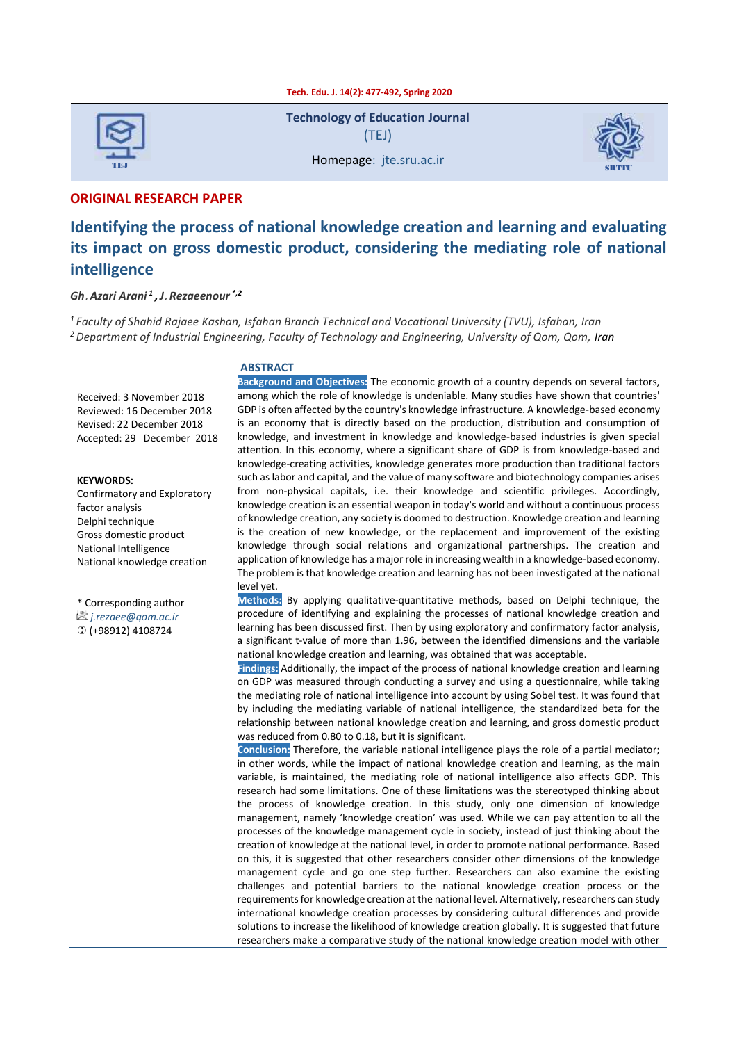

**Technology of Education Journal** (TEJ)

Homepage: jte.sru.ac.ir



#### **ORIGINAL RESEARCH PAPER**

# **Identifying the process of national knowledge creation and learning and evaluating its impact on gross domestic product, considering the mediating role of national intelligence**

#### *Gh***.** *Azari Arani <sup>1</sup> ,J***.** *Rezaeenour \*,2*

*1 Faculty of Shahid Rajaee Kashan, Isfahan Branch Technical and Vocational University (TVU), Isfahan, Iran <sup>2</sup> Department of Industrial Engineering, Faculty of Technology and Engineering, University of Qom, Qom, Iran*

#### **ABSTRACT**

Received: 3 November 2018 Reviewed: 16 December 2018 Revised: 22 December 2018 Accepted: 29 December 2018

#### **KEYWORDS:**

Confirmatory and Exploratory factor analysis Delphi technique Gross domestic product National Intelligence National knowledge creation

\* Corresponding author *[j.rezaee@qom.ac.ir](mailto:j.rezaee@qom.ac.ir)* (+98912) 4108724

**Background and Objectives:** The economic growth of a country depends on several factors, among which the role of knowledge is undeniable. Many studies have shown that countries' GDP is often affected by the country's knowledge infrastructure. A knowledge-based economy is an economy that is directly based on the production, distribution and consumption of knowledge, and investment in knowledge and knowledge-based industries is given special attention. In this economy, where a significant share of GDP is from knowledge-based and knowledge-creating activities, knowledge generates more production than traditional factors such as labor and capital, and the value of many software and biotechnology companies arises from non-physical capitals, i.e. their knowledge and scientific privileges. Accordingly, knowledge creation is an essential weapon in today's world and without a continuous process of knowledge creation, any society is doomed to destruction. Knowledge creation and learning is the creation of new knowledge, or the replacement and improvement of the existing knowledge through social relations and organizational partnerships. The creation and application of knowledge has a major role in increasing wealth in a knowledge-based economy. The problem is that knowledge creation and learning has not been investigated at the national level yet.

**Methods:** By applying qualitative-quantitative methods, based on Delphi technique, the procedure of identifying and explaining the processes of national knowledge creation and learning has been discussed first. Then by using exploratory and confirmatory factor analysis, a significant t-value of more than 1.96, between the identified dimensions and the variable national knowledge creation and learning, was obtained that was acceptable.

**Findings:** Additionally, the impact of the process of national knowledge creation and learning on GDP was measured through conducting a survey and using a questionnaire, while taking the mediating role of national intelligence into account by using Sobel test. It was found that by including the mediating variable of national intelligence, the standardized beta for the relationship between national knowledge creation and learning, and gross domestic product was reduced from 0.80 to 0.18, but it is significant.

**Conclusion:** Therefore, the variable national intelligence plays the role of a partial mediator; in other words, while the impact of national knowledge creation and learning, as the main variable, is maintained, the mediating role of national intelligence also affects GDP. This research had some limitations. One of these limitations was the stereotyped thinking about the process of knowledge creation. In this study, only one dimension of knowledge management, namely 'knowledge creation' was used. While we can pay attention to all the processes of the knowledge management cycle in society, instead of just thinking about the creation of knowledge at the national level, in order to promote national performance. Based on this, it is suggested that other researchers consider other dimensions of the knowledge management cycle and go one step further. Researchers can also examine the existing challenges and potential barriers to the national knowledge creation process or the requirements for knowledge creation at the national level. Alternatively, researchers can study international knowledge creation processes by considering cultural differences and provide solutions to increase the likelihood of knowledge creation globally. It is suggested that future researchers make a comparative study of the national knowledge creation model with other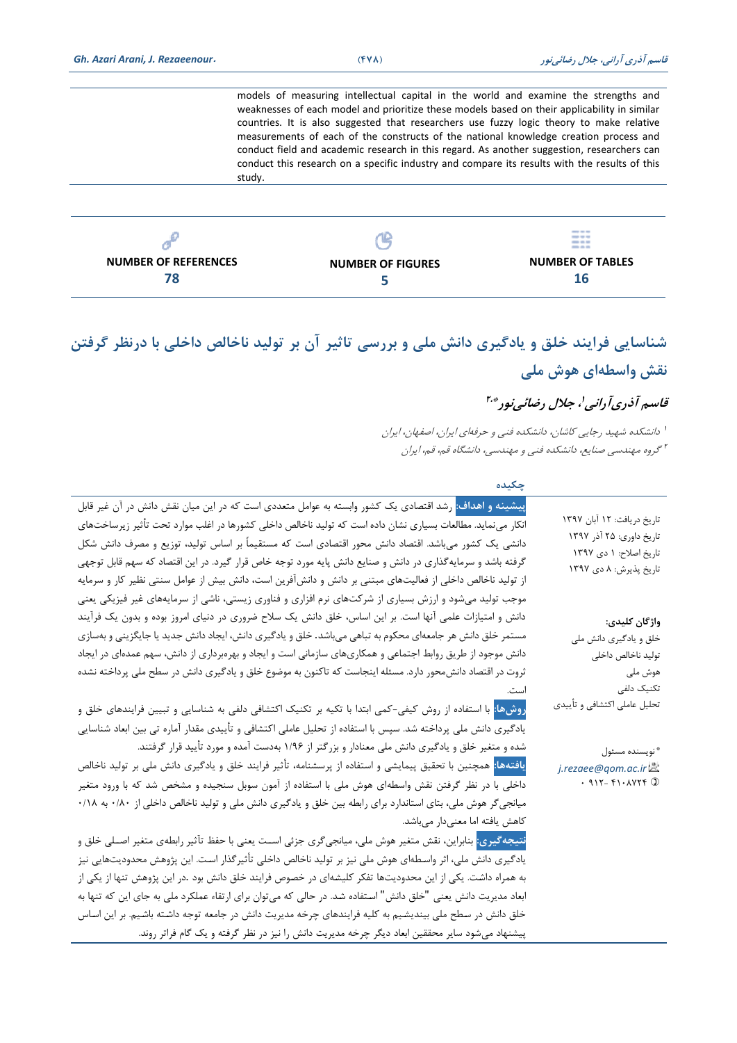models of measuring intellectual capital in the world and examine the strengths and weaknesses of each model and prioritize these models based on their applicability in similar countries. It is also suggested that researchers use fuzzy logic theory to make relative measurements of each of the constructs of the national knowledge creation process and conduct field and academic research in this regard. As another suggestion, researchers can conduct this research on a specific industry and compare its results with the results of this study.

| 6.                          |                          | <b>COLOR CARD AND</b><br>$\frac{1}{2} \left( \frac{1}{2} \right) \left( \frac{1}{2} \right) \left( \frac{1}{2} \right) \left( \frac{1}{2} \right)$<br><b>COLOR AND AND</b><br>--- |
|-----------------------------|--------------------------|-----------------------------------------------------------------------------------------------------------------------------------------------------------------------------------|
| <b>NUMBER OF REFERENCES</b> | <b>NUMBER OF FIGURES</b> | <b>NUMBER OF TABLES</b>                                                                                                                                                           |
| 78                          |                          | 16                                                                                                                                                                                |

# **شناسايی فرايند خلق و يادگیری دانش ملی و بررسی تاثیر آن بر تولید ناخالص داخلی با درنظر گرفتن نقش واسطه ای هوش ملی**

# قاسم آذریآرانی'، جلال رضائی نور\*\*'

1 دانشکده شهید رجایی کاشان، دانشکده فنی و حرفهای ایران، اصفهان، ایران 2 گروه مهندسی صنایع، دانشکده فنی و مهندسی، دانشگاه قم، قم، ایران

 **چکیده** 

| تاريخ دريافت: ١٢ آبان ١٣٩٧<br>تاریخ داوری: ۲۵ آذر ۱۳۹۷<br>تاریخ اصلاح: ۱ دی ۱۳۹۷<br>تاریخ پذیرش: ۸ دی ۱۳۹۷ | <mark>پیشینه و اهداف:</mark> رشد اقتصادی یک کشور وابسته به عوامل متعددی است که در این میان نقش دانش در آن غیر قابل<br>انکار مینماید. مطالعات بسیاری نشان داده است که تولید ناخالص داخلی کشورها در اغلب موارد تحت تأثیر زیرساختهای<br>دانشی یک کشور میباشد. اقتصاد دانش محور اقتصادی است که مستقیماً بر اساس تولید، توزیع و مصرف دانش شکل<br>گرفته باشد و سرمایهگذاری در دانش و صنایع دانش پایه مورد توجه خاص قرار گیرد. در این اقتصاد که سهم قابل توجهی<br>از تولید ناخالص داخلی از فعالیتهای مبتنی بر دانش و دانشآفرین است، دانش بیش از عوامل سنتی نظیر کار و سرمایه<br>موجب تولید میشود و ارزش بسیاری از شرکتهای نرم افزاری و فناوری زیستی، ناشی از سرمایههای غیر فیزیکی یعنی |
|------------------------------------------------------------------------------------------------------------|---------------------------------------------------------------------------------------------------------------------------------------------------------------------------------------------------------------------------------------------------------------------------------------------------------------------------------------------------------------------------------------------------------------------------------------------------------------------------------------------------------------------------------------------------------------------------------------------------------------------------------------------------------------------------------|
| واژگان کلیدی:<br>خلق و يادگيري دانش ملي                                                                    | دانش و امتیازات علمی آنها است. بر این اساس، خلق دانش یک سلاح ضروری در دنیای امروز بوده و بدون یک فرآیند<br>مستمر خلق دانش هر جامعهای محکوم به تباهی میباشد. خلق و یادگیری دانش، ایجاد دانش جدید یا جایگزینی و بهسازی                                                                                                                                                                                                                                                                                                                                                                                                                                                            |
| توليد ناخالص داخلى<br>هوش ملي<br>تکنیک دلفی                                                                | دانش موجود از طریق روابط اجتماعی و همکاریهای سازمانی است و ایجاد و بهرەبرداری از دانش، سهم عمدەای در ایجاد<br>ثروت در اقتصاد دانش،حور دارد. مسئله اینجاست که تاکنون به موضوع خلق و یادگیری دانش در سطح ملی پرداخته نشده                                                                                                                                                                                                                                                                                                                                                                                                                                                         |
| تحليل عاملي اكتشافي و تأييدي                                                                               | <mark>روشها:</mark> با استفاده از روش کیفی-کمی ابتدا با تکیه بر تکنیک اکتشافی دلفی به شناسایی و تبیین فرایندهای خلق و<br>یادگیری دانش ملی پرداخته شد. سپس با استفاده از تحلیل عاملی اکتشافی و تأییدی مقدار آماره تی بین ابعاد شناسایی                                                                                                                                                                                                                                                                                                                                                                                                                                           |
| * نويسنده مسئول<br>j.rezaee@qom.ac.ir<br>$.915 - F1.4Y5F$                                                  | شده و متغیر خلق و یادگیری دانش ملی معنادار و بزرگتر از ۱/۹۶ بهدست آمده و مورد تأیید قرار گرفتند.<br><mark>یافتهها:</mark> همچنین با تحقیق پیمایشی و استفاده از پرسشنامه، تأثیر فرایند خلق و یادگیری دانش ملی بر تولید ناخالص<br>داخلی با در نظر گرفتن نقش واسطهای هوش ملی با استفاده از آمون سوبل سنجیده و مشخص شد که با ورود متغیر<br>میانجیگر هوش ملی، بتای استاندارد برای رابطه بین خلق و یادگیری دانش ملی و تولید ناخالص داخلی از ۰/۸۰ به ۰/۸۸                                                                                                                                                                                                                              |
|                                                                                                            | كاهش يافته اما معنىدار مىباشد.<br><mark>نتیجه <i>گ</i>یری:</mark> بنابراین، نقش متغیر هوش ملی، میانجی <i>گ</i> ری جزئی اســت یعنی با حفظ تآثیر رابطهی متغیر اصــلی خلق و<br>یادگیری دانش ملی، اثر واسطهای هوش ملی نیز بر تولید ناخالص داخلی تأثیرگذار است. این پژوهش محدودیتهایی نیز                                                                                                                                                                                                                                                                                                                                                                                            |
|                                                                                                            | به همراه داشت. یکی از این محدودیتها تفکر کلیشهای در خصوص فرایند خلق دانش بود .در این پژوهش تنها از یکی از<br>ابعاد مدیریت دانش یعنی "خلق دانش" استفاده شد. در حالی که میتوان برای ارتقاء عملکرد ملی به جای این که تنها به<br>خلق دانش در سطح ملی بیندیشیم به کلیه فرایندهای چرخه مدیریت دانش در جامعه توجه داشته باشیم. بر این اساس<br>پیشنهاد میشود سایر محققین ابعاد دیگر چرخه مدیریت دانش را نیز در نظر گرفته و یک گام فراتر روند.                                                                                                                                                                                                                                           |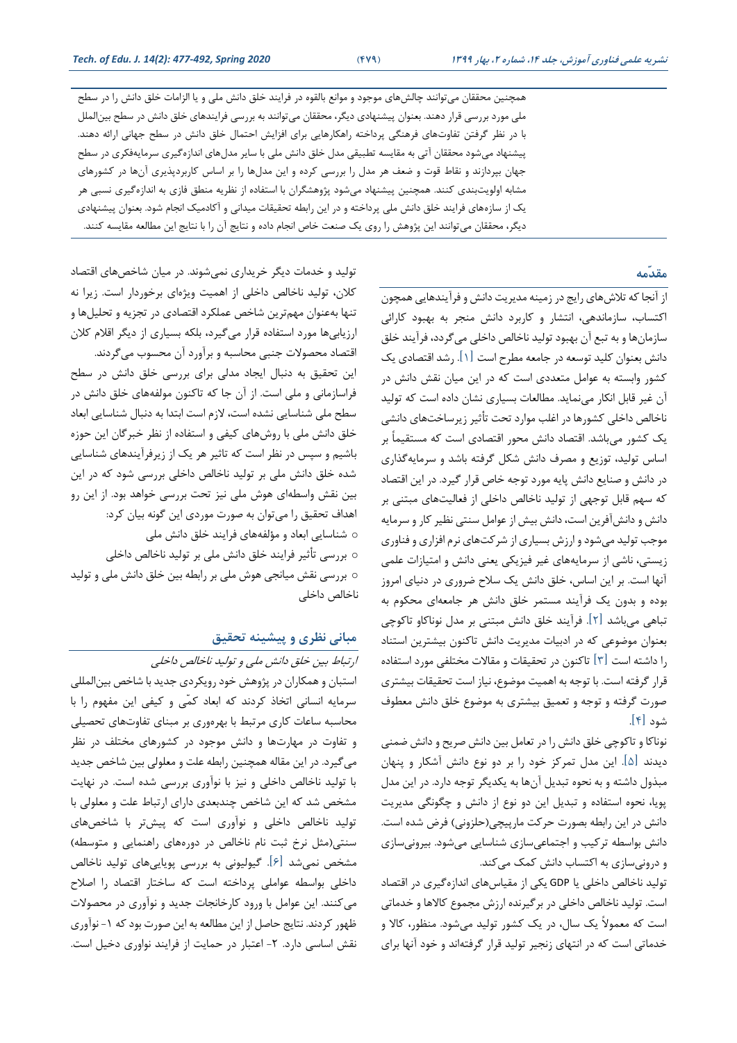همچنین محققان میتوانند خالشهای موجود و موانع بالقوه در فرایند خلق دانش ملی و یا الزامات خلق دانش را در سطح ملی مورد بررسی قرار دهند. بعنوان پیشنهادی دیگر، محققان میتوانند به بررسی فرایندهای خلق دانش در سطح بینالملل با در نظر گرفتن تفاوتهای فرهنگی پرداخته راهکارهایی برای افزایش احتمال خلق دانش در سطح جهانی ارائه دهند. پیشنهاد میشود محققان آتی به مقایسه تطبیقی مدل خلق دانش ملی با سایر مدلهای اندازهگیری سرمایهفکری در سطح جهان بپردازند و نقاط قوت و ضعف هر مدل را بررسی کرده و این مدلها را بر اساس کاربردپذیری آنها در کشورهای مشابه اولویتبندی کنند. همچنین پیشنهاد میشود پووهشگران با استفاده از نظریه منطق فازی به اندازهگیری نسبی هر یك از سازههای فرایند خلق دانش ملی پرداخته و در این رابطه تحقیقات میدانی و آکادمیك انجام شود. بعنوان پیشنهادی دیگر، محققان میتوانند این پووهش را روی یك صنعت خاص انجام داده و نتایج آن را با نتایج این مطالعه مقایسه کنند.

#### **مقدّمه**

از آنجا که تالش های رایج در زمینه مدیریت دانش و فرآیندهایی همچون اکتساب، سازماندهی، انتشار و کاربرد دانش منجر به بهبود کارائی سازمان ها و به تبع آن بهبود تولید ناخالص داخلی میگردد، فرآیند خلق دانش بعنوان کلید توسعه در جامعه مطرح است ]1[. رشد اقتصادی یك کشور وابسته به عوامل متعددی است که در این میان نقش دانش در آن غیر قابل انکار می نماید. مطالعات بسیاری نشان داده است که تولید ناخالص داخلی کشورها در اغلب موارد تحت تأثیر زیرساخت های دانشی یك کشور میباشد. اقتصاد دانش محور اقتصادی است که مستقیماً بر اساس تولید، توزیع و مصرف دانش شکل گرفته باشد و سرمایهگذاری در دانش و صنایع دانش پایه مورد توجه خاص قرار گیرد. در این اقتصاد که سهم قابل توجهی از تولید ناخالص داخلی از فعالیتهای مبتنی بر دانش و دانشآفرین است، دانش بیش از عوامل سنتی نظیر کار و سرمایه موجب تولید میشود و ارزش بسیاری از شرکتهای نرم افزاری و فناوری زیستی، ناشی از سرمایههای غیر فیزیکی یعنی دانش و امتیازات علمی آنها است. بر این اساس، خلق دانش یك سالح ضروری در دنیای امروز بوده و بدون یك فرآیند مستمر خلق دانش هر جامعه ای محکوم به تباهی میباشد ]2[. فرآیند خلق دانش مبتنی بر مدل نوناکاو تاکوخی بعنوان موضوعی که در ادبیات مدیریت دانش تاکنون بیشترین استناد را داشته است ]3[ تاکنون در تحقیقات و مقاالت مختلفی مورد استفاده قرار گرفته است. با توجه به اهمیت موضوع، نیاز است تحقیقات بیشتری صورت گرفته و توجه و تعمیق بیشتری به موضوع خلق دانش معطوف شود ]4[.

نوناکا و تاکوخی خلق دانش را در تعامل بین دانش صریح و دانش ضمنی دیدند ]5[. این مدل تمرکز خود را بر دو نوع دانش آشکار و پنهان مبذول داشته و به نحوه تبدیل آنها به یکدیگر توجه دارد. در این مدل پویا، نحوه استفاده و تبدیل این دو نوع از دانش و خگونگی مدیریت دانش در این رابطه بصورت حرکت مارپیچی)حلزونی( فرض شده است. دانش بواسطه ترکیب و اجتماعیسازی شناسایی می شود. بیرونی سازی و درونی سازی به اکتساب دانش کمک می کند.

تولید ناخالص داخلی یا GDP یکی از مقیاس های اندازهگیری در اقتصاد است. تولید ناخالص داخلی در برگیرنده ارزش مجموع کاالها و خدماتی است که معموالً یك سال، در یك کشور تولید میشود. منظور، کاال و خدماتی است که در انتهای زنجیر تولید قرار گرفتهاند و خود آنها برای

تولید و خدمات دیگر خریداری نمیشوند. در میان شاخص های اقتصاد کلان، تولید ناخالص داخلی از اهمیت ویژهای برخوردار است. زیرا نه تنها بهعنوان مهم ترین شاخص عملکرد اقتصادی در تجزیه و تحلیلها و ارزیابی ها مورد استفاده قرار می گیرد، بلکه بسیاری از دیگر اقالم کالن اقتصاد محصوالت جنبی محاسبه و برآورد آن محسوب میگردند. این تحقیق به دنبال ایجاد مدلی برای بررسی خلق دانش در سطح فراسازمانی و ملی است. از آن جا که تاکنون مولفههای خلق دانش در سطح ملی شناسایی نشده است، الزم است ابتدا به دنبال شناسایی ابعاد خلق دانش ملی با روش های کیفی و استفاده از نظر خبرگان این حوزه باشیم و سپس در نظر است که تاثیر هر یك از زیرفرآیندهای شناسایی شده خلق دانش ملی بر تولید ناخالص داخلی بررسی شود که در این بین نقش واسطه ای هوش ملی نیز تحت بررسی خواهد بود. از این رو اهداف تحقیق را میتوان به صورت موردی این گونه بیان کرد: o شناسایی ابعاد و مؤلفههای فرایند خلق دانش ملی o بررسی تأثیر فرایند خلق دانش ملی بر تولید ناخالص داخلی o بررسی نقش میانجی هوش ملی بر رابطه بین خلق دانش ملی و تولید ناخالص داخلی

## **مبانی نظری و پیشینه تحقیق**

ارتباط بین خلق دانش ملی و تولید ناخالص داخلی استبان و همکاران در پووهش خود رویکردی جدید با شاخص بینالمللی سرمایه انسانی اتخاذ کردند که ابعاد کمّی و کیفی این مفهوم را با محاسبه ساعات کاری مرتبط با بهره وری بر مبنای تفاوت های تحصیلی و تفاوت در مهارتها و دانش موجود در کشورهای مختلف در نظر میگیرد. در این مقاله همچنین رابطه علت و معلولی بین شاخص جدید با تولید ناخالص داخلی و نیز با نوآوری بررسی شده است. در نهایت مشخص شد که این شاخص خندبعدی دارای ارتباط علت و معلولی با تولید ناخالص داخلی و نوآوری است که پیش تر با شاخص های سنتی)مثل نرخ ثبت نام ناخالص در دورههای راهنمایی و متوسطه( مشخص نمیشد ]6[. گیولیونی به بررسی پویایی های تولید ناخالص داخلی بواسطه عواملی پرداخته است که ساختار اقتصاد را اصالح میکنند. این عوامل با ورود کارخانجات جدید و نوآوری در محصوالت ظهور کردند. نتایج حاصل از این مطالعه به این صورت بود که -1 نوآوری نقش اساسی دارد. ۲- اعتبار در حمایت از فرایند نواوری دخیل است.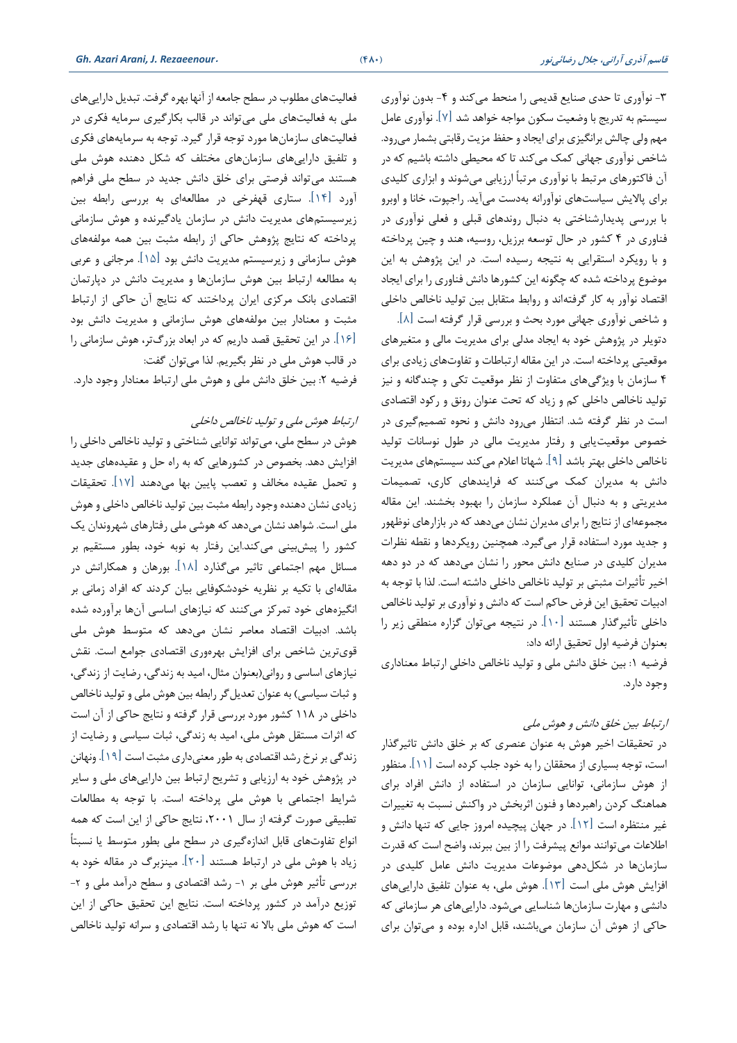-3 نوآوری تا حدی صنایع قدیمی را منحط میکند و -4 بدون نوآوری سیستم به تدریج با وضعیت سکون مواجه خواهد شد ]7[. نوآوری عامل مهم ولی چالش برانگیزی برای ایجاد و حفظ مزیت رقابتی بشمار میرود. شاخص نوآوری جهانی کمك می کند تا که محیطی داشته باشیم که در آن فاکتورهای مرتبط با نوآوری مرتباً ارزیابی میشوند و ابزاری کلیدی برای پاالیش سیاست های نوآورانه بهدست می آید. راجپوت، خانا و اوبرو با بررسی پدیدارشناختی به دنبال روندهای قبلی و فعلی نوآوری در فناوری در 4 کشور در حال توسعه برزیل، روسیه، هند و خین پرداخته و با رویکرد استقرایی به نتیجه رسیده است. در این پووهش به این موضوع پرداخته شده که خگونه این کشورها دانش فناوری را برای ایجاد اقتصاد نوآور به کار گرفتهاند و روابط متقابل بین تولید ناخالص داخلی

و شاخص نوآوری جهانی مورد بحث و بررسی قرار گرفته است ]8[. دتویلر در پووهش خود به ایجاد مدلی برای مدیریت مالی و متغیرهای موقعیتی پرداخته است. در این مقاله ارتباطات و تفاوتهای زیادی برای 4 سازمان با ویوگیهای متفاوت از نظر موقعیت تکی و خندگانه و نیز تولید ناخالص داخلی کم و زیاد که تحت عنوان رونق و رکود اقتصادی است در نظر گرفته شد. انتظار می رود دانش و نحوه تصمیمگیری در خصوص موقعیتیابی و رفتار مدیریت مالی در طول نوسانات تولید ناخالص داخلی بهتر باشد ]9[. شهاتا اعالم میکند سیستم های مدیریت دانش به مدیران کمك میکنند که فرایندهای کاری، تصمیمات مدیریتی و به دنبال آن عملکرد سازمان را بهبود بخشند. این مقاله مجموعه ای از نتایج را برای مدیران نشان می دهد که در بازارهای نوظهور و جدید مورد استفاده قرار می گیرد. همچنین رویکردها و نقطه نظرات مدیران کلیدی در صنایع دانش محور را نشان میدهد که در دو دهه اخیر تأثیرات مثبتی بر تولید ناخالص داخلی داشته است. لذا با توجه به ادبیات تحقیق این فرض حاکم است که دانش و نوآوری بر تولید ناخالص داخلی تأثیرگذار هستند ]10[ . در نتیجه میتوان گزاره منطقی زیر را بعنوان فرضیه اول تحقیق ارائه داد:

فرضیه :1 بین خلق دانش ملی و تولید ناخالص داخلی ارتباط معناداری وجود دارد.

### ارتباط بین خلق دانش و هوش ملی

در تحقیقات اخیر هوش به عنوان عنصری که بر خلق دانش تاثیرگذار است، توجه بسیاری از محققان را به خود جلب کرده است ]11[. منظور از هوش سازمانی، توانایی سازمان در استفاده از دانش افراد بر ای هماهنگ کردن راهبردها و فنون اثربخش در واکنش نسبت به تغییرات غیر منتظره است ]12[. در جهان پیچیده امروز جایی که تنها دانش و اطالعات میتوانند موانع پیشرفت را از بین ببرند، واضح است که قدرت سازمان ها در شکلدهی موضوعات مدیریت دانش عامل کلیدی در افزایش هوش ملی است ]13[. هوش ملی، به عنوان تلفیق داراییهای دانشی و مهارت سازمان ها شناسایی میشود. داراییهای هر سازمانی که حاکی از هوش آن سازمان میباشند، قابل اداره بوده و میتوان برای

فعالیتهای مطلوب در سطح جامعه از آنها بهره گرفت. تبدیل داراییهای ملی به فعالیتهای ملی میتواند در قالب بکارگیری سرمایه فکری در فعالیتهای سازمانها مورد توجه قرار گیرد. توجه به سرمایههای فکری و تلفیق داراییهای سازمان های مختلف که شکل دهنده هوش ملی هستند میتواند فرصتی برای خلق دانش جدید در سطح ملی فراهم آورد ]14[. ستاری قهفرخی در مطالعهای به بررسی رابطه بین زیرسیستمهای مدیریت دانش در سازمان یادگیرنده و هوش سازمانی پرداخته که نتایج پووهش حاکی از رابطه مثبت بین همه مولفه های هوش سازمانی و زیرسیستم مدیریت دانش بود ]15[. مرجانی و عربی به مطالعه ارتباط بین هوش سازمان ها و مدیریت دانش در دپارتمان اقتصادی بانك مرکزی ایران پرداختند که نتایج آن حاکی از ارتباط مثبت و معنادار بین مولفههای هوش سازمانی و مدیریت دانش بود ]16[. در این تحقیق قصد داریم که در ابعاد بزرگتر، هوش سازمانی را در قالب هوش ملی در نظر بگیریم. لذا می توان گفت:

فرضیه ٢: بین خلق دانش ملی و هوش ملی ارتباط معنادار وجود دارد.

ارتباط هوش ملی و تولید ناخالص داخلی

هوش در سطح ملی، میتواند توانایی شناختی و تولید ناخالص داخلی را افزایش دهد. بخصوص در کشورهایی که به راه حل و عقیدههای جدید و تحمل عقیده مخالف و تعصب پایین بها می دهند ]17[. تحقیقات زیادی نشان دهنده وجود رابطه مثبت بین تولید ناخالص داخلی و هوش ملی است. شواهد نشان می دهد که هوشی ملی رفتارهای شهروندان یك کشور را پیشبینی میکند.این رفتار به نوبه خود، بطور مستقیم بر مسائل مهم اجتماعی تاثیر میگذارد ]18[. بورهان و همکارانش در مقاله ای با تکیه بر نظریه خودشکوفایی بیان کردند که افراد زمانی بر انگیزههای خود تمرکز می کنند که نیازهای اساسی آن ها برآورده شده باشد. ادبیات اقتصاد معاصر نشان میدهد که متوسط هوش ملی قوی ترین شاخص بر ای افزایش بهره وری اقتصادی جوامع است. نقش نیازهای اساسی و روانی)بعنوان مثال، امید به زندگی، رضایت از زندگی، و ثبات سیاسی) به عنوان تعدیل گر رابطه بین هوش ملی و تولید ناخالص داخلی در 118 کشور مورد بررسی قرار گرفته و نتایج حاکی از آن است که اثرات مستقل هوش ملی، امید به زندگی، ثبات سیاسی و رضایت از زندگی بر نرخ رشد اقتصادی به طور معنیداری مثبت است ]19[. ونهانن در پووهش خود به ارزیابی و تشریح ارتباط بین داراییهای ملی و سایر شرایط اجتماعی با هوش ملی پرداخته است. با توجه به مطالعات تطبیقی صورت گرفته از سال ،2001 نتایج حاکی از این است که همه انواع تفاوت های قابل اندازه گیری در سطح ملی بطور متوسط یا نسبتاً زیاد با هوش ملی در ارتباط هستند ]20[. مینزبرگ در مقاله خود به بررسی تأثیر هوش ملی بر ۱- رشد اقتصادی و سطح درآمد ملی و ۲-توزیع درآمد در کشور پرداخته است. نتایج این تحقیق حاکی از این است که هوش ملی باال نه تنها با رشد اقتصادی و سرانه تولید ناخالص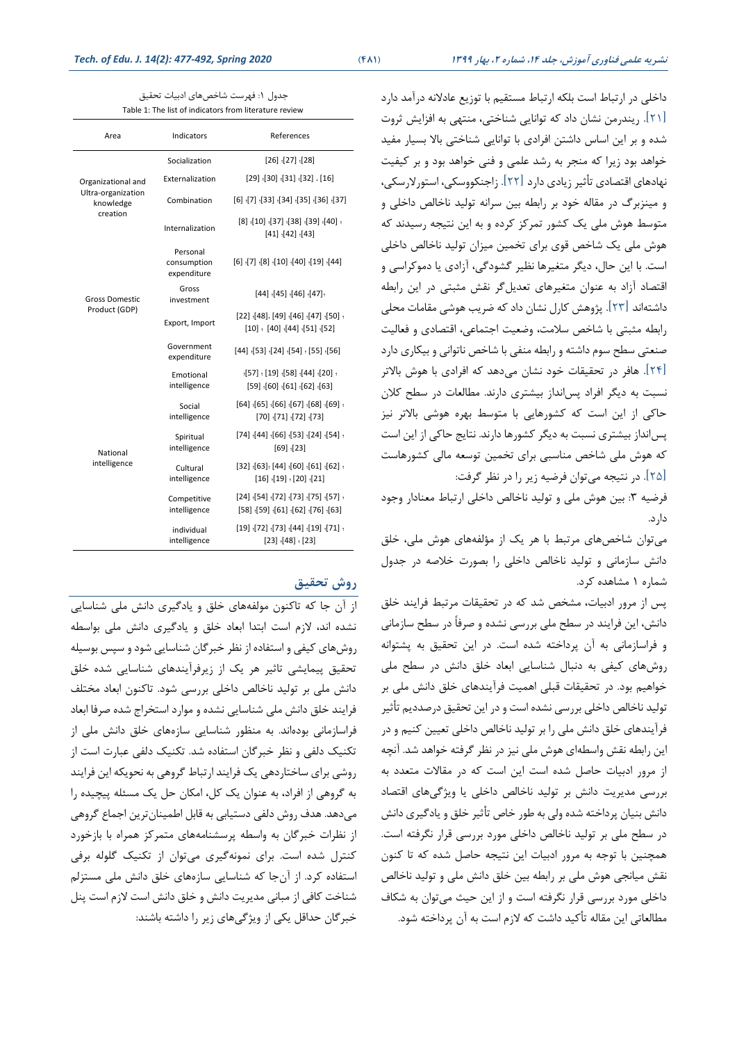داخلی در ارتباط است بلکه ارتباط مستقیم با توزیع عادالنه درآمد دارد ]21[. ریندرمن نشان داد که توانایی شناختی، منتهی به افزایش ثروت شده و بر این اساس داشتن افرادی با توانایی شناختی باال بسیار مفید خواهد بود زیرا که منجر به رشد علمی و فنی خواهد بود و بر کیفیت نهادهای اقتصادی تأثیر زیادی دارد ] 22[. زاجنکووسکی، استورالرسکی، و مینزبرگ در مقاله خود بر رابطه بین سرانه تولید ناخالص داخلی و متوسط هوش ملی یك کشور تمرکز کرده و به این نتیجه رسیدند که هوش ملی یك شاخص قوی برای تخمین میزان تولید ناخالص داخلی است. با این حال، دیگر متغیرها نظیر گشودگی، آزادی یا دموکراسی و اقتصاد آزاد به عنوان متغیرهای تعدیلگر نقش مثبتی در این رابطه داشتهاند [۲۳]. پژوهش کارل نشان داد که ضریب هوشی مقامات محلی رابطه مثبتی با شاخص سالمت، وضعیت اجتماعی، اقتصادی و فعالیت صنعتی سطح سوم داشته و رابطه منفی با شاخص ناتوانی و بیکاری دارد ]24[. هافر در تحقیقات خود نشان میدهد که افرادی با هوش باالتر نسبت به دیگر افراد پس انداز بیشتری دارند. مطالعات در سطح کلان حاکی از این است که کشورهایی با متوسط بهره هوشی باالتر نیز پس انداز بیشتری نسبت به دیگر کشورها دارند. نتایج حاکی از این است که هوش ملی شاخص مناسبی برای تخمین توسعه مالی کشورهاست ]25[. در نتیجه میتوان فرضیه زیر را در نظر گرفت:

فرضیه ٣: بین هوش ملی و تولید ناخالص داخلی ارتباط معنادار وجود دارد.

میتوان شاخص های مرتبط با هر یك از مؤلفه های هوش ملی، خلق دانش سازمانی و تولید ناخالص داخلی را بصورت خالصه در جدول شماره 1 مشاهده کرد.

پس از مرور ادبیات، مشخص شد که در تحقیقات مرتبط فرایند خلق دانش، این فرایند در سطح ملی بررسی نشده و صرفاً در سطح سازمانی و فراسازمانی به آن پرداخته شده است. در این تحقیق به پشتوانه روش های کیفی به دنبال شناسایی ابعاد خلق دانش در سطح ملی خواهیم بود. در تحقیقات قبلی اهمیت فرآیندهای خلق دانش ملی بر تولید ناخالص داخلی بررسی نشده است و در این تحقیق درصددیم تأثیر فرآیندهای خلق دانش ملی را بر تولید ناخالص داخلی تعیین کنیم و در این رابطه نقش واسطه ای هوش ملی نیز در نظر گرفته خواهد شد. آنچه از مرور ادبیات حاصل شده است این است که در مقاالت متعدد به بررسی مدیریت دانش بر تولید ناخالص داخلی یا ویوگیهای اقتصاد دانش بنیان پرداخته شده ولی به طور خاص تأثیر خلق و یادگیری دانش در سطح ملی بر تولید ناخالص داخلی مورد بررسی قرار نگرفته است. همچنین با توجه به مرور ادبیات این نتیجه حاصل شده که تا کنون نقش میانجی هوش ملی بر رابطه بین خلق دانش ملی و تولید ناخالص داخلی مورد بررسی قرار نگرفته است و از این حیث میتوان به شکاف مطالعاتی این مقاله تأکید داشت که الزم است به آن پرداخته شود.

| جدول ١: فهرست شاخص۵مای ادبیات تحقیق                    |
|--------------------------------------------------------|
| Table 1: The list of indicators from literature review |

|                                 | Indicators                             | References                                                                                  |  |  |
|---------------------------------|----------------------------------------|---------------------------------------------------------------------------------------------|--|--|
|                                 | Socialization                          | $[26]$ $[27]$ $[28]$                                                                        |  |  |
| Organizational and              | Externalization                        | $[29]$ $[30]$ $[31]$ $[32]$ $[16]$                                                          |  |  |
| Ultra-organization<br>knowledge | Combination                            | $[6]$ $[7]$ $[33]$ $[34]$ $[35]$ $[36]$ $[37]$                                              |  |  |
| creation                        | Internalization                        | . [40] [38] [38] [39] [40] [8]<br>$[41]$ $[42]$ $[43]$                                      |  |  |
|                                 | Personal<br>consumption<br>expenditure | [44] [19] [04] [01] [8] [7] [6]                                                             |  |  |
| <b>Gross Domestic</b>           | Gross<br>investment                    | $[44]$ $[45]$ $[46]$ $[47]$                                                                 |  |  |
| Product (GDP)                   | Export, Import                         | [50] (50] [47] [46] (49] .[48] [22]<br>$[10]$ : [40] (44] (51] (52]                         |  |  |
|                                 | Government<br>expenditure              | [56] (55] (54] (54] [54] [44]                                                               |  |  |
|                                 | Emotional<br>intelligence              | ؛ [20]؛ [44]؛ [58]؛ [19] ؛ [57]؛<br>$[59]$ $[60]$ $[61]$ $[62]$ $[63]$                      |  |  |
|                                 | Social<br>intelligence                 | . [69] [68] [67] [67] [68] [69] [64]<br>$[70]$ $[71]$ $[72]$ $[73]$                         |  |  |
| National<br>intelligence        | Spiritual<br>intelligence              | ؛ [54]؛ [24]؛ [53]؛ [66]؛ [44]؛ [74]<br>$[69]$ $[23]$                                       |  |  |
|                                 | Cultural<br>intelligence               | $[32]$ $[63]$ $[44]$ $[60]$ $[61]$ $[62]$ $[63]$<br>$[16] \cdot [19] \cdot [20] \cdot [21]$ |  |  |
|                                 | Competitive<br>intelligence            | ؛ [57]؛ [75]؛ [73]؛ [72]؛ [54]؛ [24]<br>$[58]$ [59] $[61]$ [62] [76] [63]                   |  |  |
|                                 | individual<br>intelligence             | ؛ [71]؛ [19]؛ [44]؛ [73]؛ [72]؛ [19]<br>$[23] \cdot [48] \cdot [23]$                        |  |  |

## **روش تحقیق**

از آن جا که تاکنون مولفه های خلق و یادگیری دانش ملی شناسایی نشده اند، الزم است ابتدا ابعاد خلق و یادگیری دانش ملی بواسطه روش های کیفی و استفاده از نظر خبرگان شناسایی شود و سپس بوسیله تحقیق پیمایشی تاثیر هر یك از زیرفرآیندهای شناسایی شده خلق دانش ملی بر تولید ناخالص داخلی بررسی شود. تاکنون ابعاد مختلف فرایند خلق دانش ملی شناسایی نشده و موارد استخراج شده صرفا ابعاد فراسازمانی بوده اند. به منظور شناسایی سازههای خلق دانش ملی از تکنیك دلفی و نظر خبرگان استفاده شد. تکنیك دلفی عبارت است از روشی برای ساختاردهی یك فرایند ارتباط گروهی به نحویکه این فرایند به گروهی از افراد، به عنوان یك کل، امکان حل یك مسئله پیچیده را میدهد. هدف روش دلفی دستیابی به قابل اطمینانترین اجماع گروهی از نظرات خبرگان به واسطه پرسشنامههای متمرکز همراه با بازخورد کنترل شده است. برای نمونهگیری میتوان از تکنیك گلوله برفی استفاده کرد. از آن جا که شناسایی سازه های خلق دانش ملی مستزلم شناخت کافی از مبانی مدیریت دانش و خلق دانش است الزم است پنل خبرگان حداقل یکی از ویوگی های زیر را داشته باشند: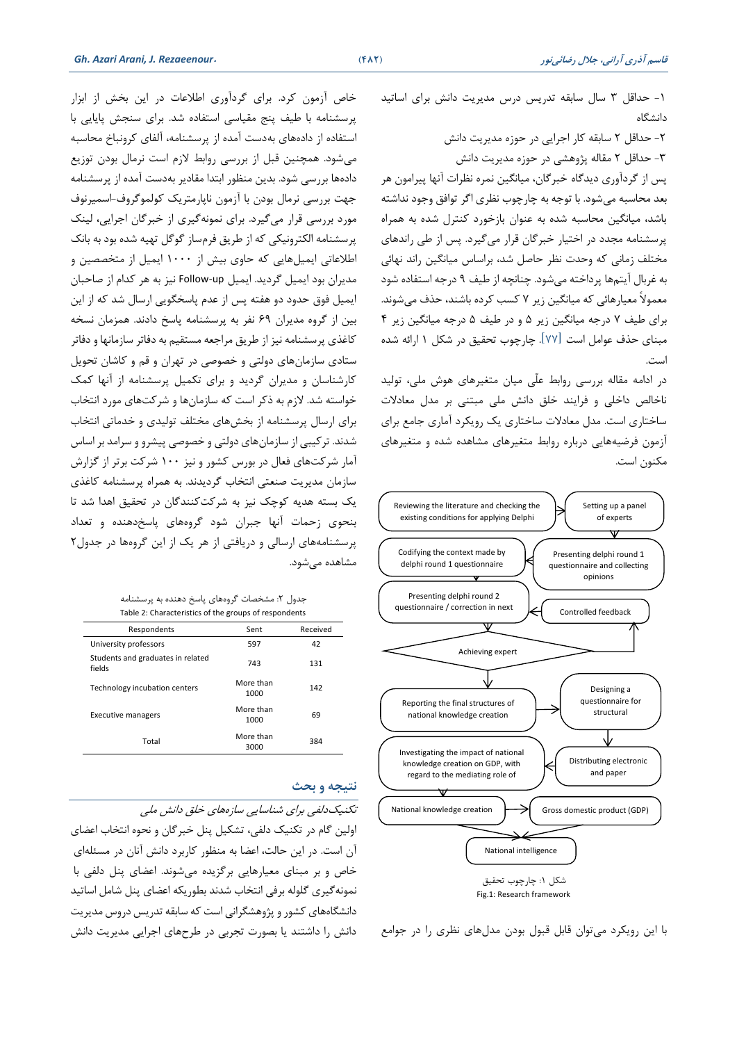خاص آزمون کرد. برای گردآوری اطالعات در این بخش از ابزار پرسشنامه با طیف پنج مقیاسی استفاده شد. برای سنجش پایایی با استفاده از داده های بهدست آمده از پرسشنامه، آلفای کرونباخ محاسبه میشود. همچنین قبل از بررسی روابط الزم است نرمال بودن توزیع دادهها بررسی شود. بدین منظور ابتدا مقادیر بهدست آمده از پرسشنامه جهت بررسی نرمال بودن با آزمون ناپارمتریك کولموگروف-اسمیرنوف مورد بررسی قرار می گیرد. برای نمونهگیری از خبرگان اجرایی، لینك پرسشنامه الکترونیکی که از طریق فرمساز گوگل تهیه شده بود به بانك اطالعاتی ایمیلهایی که حاوی بیش از 1000 ایمیل از متخصصین و مدیران بود ایمیل گردید. ایمیل Follow-up نیز به هر کدام از صاحبان ایمیل فوق حدود دو هفته پس از عدم پاسخگویی ارسال شد که از این بین از گروه مدیران 69 نفر به پرسشنامه پاسخ دادند. همزمان نسخه کاغذی پرسشنامه نیز از طریق مراجعه مستقیم به دفاتر سازمانها و دفاتر ستادی سازمانهای دولتی و خصوصی در تهران و قم و کاشان تحویل کارشناسان و مدیران گردید و برای تکمیل پرسشنامه از آنها کمك خواسته شد. الزم به ذکر است که سازمان ها و شرکتهای مورد انتخاب برای ارسال پرسشنامه از بخشهای مختلف تولیدی و خدماتی انتخاب شدند. ترکیبی از سازمانهای دولتی و خصوصی پیشرو و سرامد بر اساس آمار شرکتهای فعال در بورس کشور و نیز 100 شرکت برتر از گزارش سازمان مدیریت صنعتی انتخاب گردیدند. به همراه پرسشنامه کاغذی یك بسته هدیه کوخك نیز به شرکتکنندگان در تحقیق اهدا شد تا بنحوی زحمات آنها جبران شود گروه های پاسخ دهنده و تعداد پرسشنامه های ارسالی و دریافتی از هر یك از این گروهها در جدول 2 مشاهده می شود.

جدول ۲: مشخصات گروههای پاسخ دهنده به پرسشنامه Table 2: Characteristics of the groups of respondents

| Respondents                                 | Sent              | Received |
|---------------------------------------------|-------------------|----------|
| University professors                       | 597               | 42       |
| Students and graduates in related<br>fields | 743               | 131      |
| Technology incubation centers               | More than<br>1000 | 142      |
| <b>Executive managers</b>                   | More than<br>1000 | 69       |
| Total                                       | More than<br>3000 | 384      |
|                                             |                   |          |

#### **نتیجه و بحث**

تکنیکدلفی برای شناسایی سازههای خلق دانش ملی اولین گام در تکنیك دلفی، تشکیل پنل خبرگان و نحوه انتخاب اعضای

آن است. در این حالت، اعضا به منظور کاربرد دانش آنان در مسئله ای خاص و بر مبنای معیارهایی برگزیده میشوند. اعضای پنل دلفی با نمونه گیری گلوله برفی انتخاب شدند بطوریکه اعضای پنل شامل اساتید دانشگاه های کشور و پووهشگرانی است که سابقه تدریس دروس مدیریت دانش را داشتند یا بصورت تجربی در طرح های اجرایی مدیریت دانش -1 حداقل 3 سال سابقه تدریس درس مدیریت دانش برای اساتید دانشگاه

-2 حداقل 2 سابقه کار اجرایی در حوزه مدیریت دانش -3 حداقل 2 مقاله پووهشی در حوزه مدیریت دانش پس از گردآوری دیدگاه خبرگان، میانگین نمره نظرات آنها پیرامون هر بعد محاسبه میشود. با توجه به خارخوب نظری اگر توافق وجود نداشته باشد، میانگین محاسبه شده به عنوان بازخورد کنترل شده به همراه پرسشنامه مجدد در اختیار خبرگان قرار میگیرد. پس از طی راندهای مختلف زمانی که وحدت نظر حاصل شد، براساس میانگین راند نهائی به غربال آیتمها پرداخته میشود. خنانچه از طیف 9 درجه استفاده شود معموالً معیارهائی که میانگین زیر 7 کسب کرده باشند، حذف میشوند. برای طیف 7 درجه میانگین زیر 5 و در طیف 5 درجه میانگین زیر 4 مبنای حذف عوامل است ]77[. خارخوب تحقیق در شکل 1 ارائه شده است.

در ادامه مقاله بررسی روابط علّی میان متغیرهای هوش ملی، تولید ناخالص داخلی و فرایند خلق دانش ملی مبتنی بر مدل معادالت ساختاری است. مدل معادالت ساختاری یك رویکرد آماری جامع برای آزمون فرضیه هایی درباره روابط متغیرهای مشاهده شده و متغیرهای مکنون است.



با این رویکرد می توان قابل قبول بودن مدل های نظری را در جوامع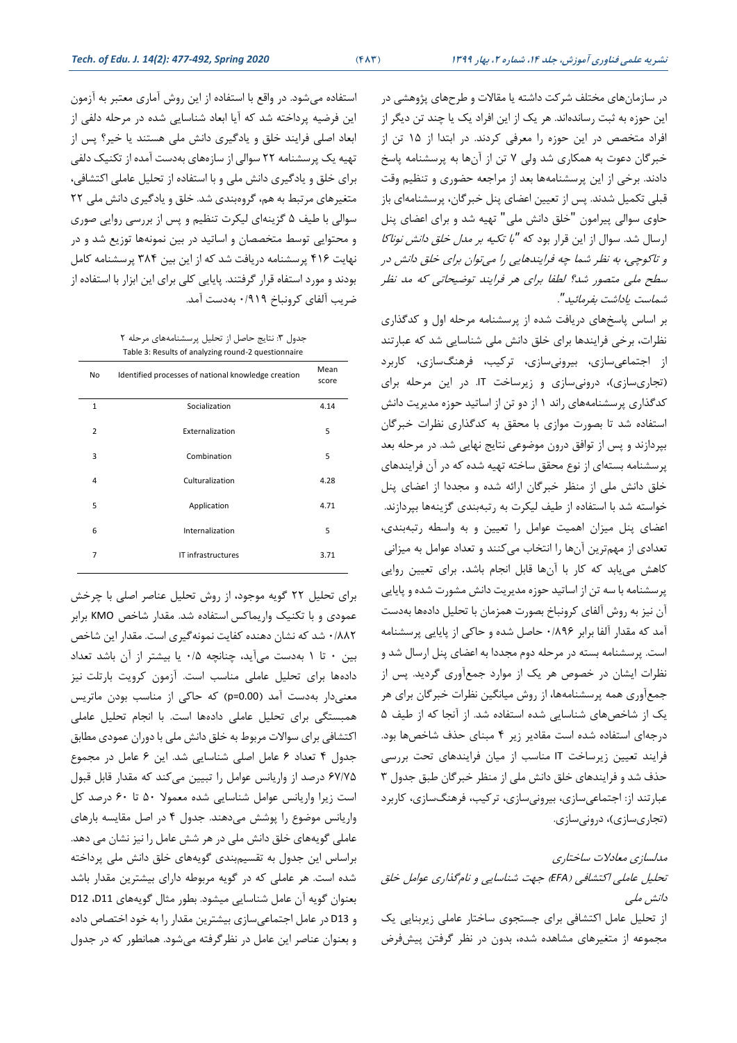در سازمان های مختلف شرکت داشته یا مقاالت و طرحهای پووهشی در این حوزه به ثبت رسانده اند. هر یك از این افراد یك یا خند تن دیگر از افراد متخصص در این حوزه را معرفی کردند. در ابتدا از 15 تن از خبرگان دعوت به همکاری شد ولی 7 تن از آنها به پرسشنامه پاسخ دادند. برخی از این پرسشنامهها بعد از مراجعه حضوری و تنظیم وقت قبلی تکمیل شدند. پس از تعیین اعضای پنل خبرگان، پرسشنامهای باز حاوی سوالی پیرامون "خلق دانش ملی" تهیه شد و برای اعضای پنل ارسال شد. سوال از این قرار بود که *"*با تکیه بر مدل خلق دانش نوناکا و تاکوخی، به نظر شما خه فرایندهایی را میتوان برای خلق دانش در سطح ملی متصور شد؟ لطفا برای هر فرایند توضیحاتی که مد نظر شماست یاداشت بفرمائید *"*.

بر اساس پاسخ های دریافت شده از پرسشنامه مرحله اول و کدگذاری نظرات، برخی فرایندها برای خلق دانش ملی شناسایی شد که عبارتند از اجتماعی سازی، بیرونی سازی ، ترکیب، فرهنگسازی، کاربرد )تجاری سازی(، درونیسازی و زیرساخت IT. در این مرحله برای کدگذاری پرسشنامه های راند 1 از دو تن از اساتید حوزه مدیریت دانش استفاده شد تا بصورت موازی با محقق به کدگذاری نظرات خبرگان بپردازند و پس از توافق درون موضوعی نتایج نهایی شد. در مرحله بعد پرسشنامه بسته ای از نوع محقق ساخته تهیه شده که در آن فرایندهای خلق دانش ملی از منظر خبرگان ارائه شده و مجددا از اعضای پنل خواسته شد با استفاده از طیف لیکرت به رتبهبندی گزینهها بپردازند. اعضای پنل میزان اهمیت عوامل را تعیین و به واسطه رتبهبندی، تعدادی از مهم ترین آنها را انتخاب میکنند و تعداد عوامل به میزانی کاهش می یابد که کار با آنها قابل انجام باشد. برای تعیین روایی پرسشنامه با سه تن از اساتید حوزه مدیریت دانش مشورت شده و پایایی آن نیز به روش آلفای کرونباخ بصورت همزمان با تحلیل داده ها بهدست آمد که مقدار آلفا برابر 0/896 حاصل شده و حاکی از پایایی پرسشنامه است. پرسشنامه بسته در مرحله دوم مجددا به اعضای پنل ارسال شد و نظرات ایشان در خصوص هر یك از موارد جمع آوری گردید. پس از جمع آوری همه پرسشنامه ها، از روش میانگین نظرات خبرگان برای هر یك از شاخصهای شناسایی شده استفاده شد. از آنجا که از طیف 5 درجه ای استفاده شده است مقادیر زیر 4 مبنای حذف شاخص ها بود. فرایند تعیین زیرساخت IT مناسب از میان فرایندهای تحت بررسی حذف شد و فرایندهای خلق دانش ملی از منظر خبرگان طبق جدول 3 عبارتند از: اجتماعی سازی، بیرونی سازی ، ترکیب، فرهنگسازی، کاربرد (تجاریسازی)، درونی سازی.

## مدلسازی معادالت ساختاری تحلیل عاملی اکتشافی )*EFA* )جهت شناسایی و نامگذاری عوامل خلق دانش ملی

از تحلیل عامل اکتشافی برای جستجوی ساختار عاملی زیربنایی یك مجموعه از متغیرهای مشاهده شده، بدون در نظر گرفتن پیشفرض

استفاده میشود. در واقع با استفاده از این روش آماری معتبر به آزمون این فرضیه پرداخته شد که آیا ابعاد شناسایی شده در مرحله دلفی از ابعاد اصلی فرایند خلق و یادگیری دانش ملی هستند یا خیر؟ پس از تهیه یك پرسشنامه 22 سوالی از سازه های بهدست آمده از تکنیك دلفی برای خلق و یادگیری دانش ملی و با استفاده از تحلیل عاملی اکتشافی، متغیرهای مرتبط به هم، گروهبندی شد. خلق و یادگیری دانش ملی 22 سوالی با طیف 5 گزینهای لیکرت تنظیم و پس از بررسی روایی صوری و محتوایی توسط متخصصان و اساتید در بین نمونهها توزیع شد و در نهایت 416 پرسشنامه دریافت شد که از این بین 384 پرسشنامه کامل بودند و مورد استفاه قرار گرفتند. پایایی کلی برای این ابزار با استفاده از ضریب آلفای کرونباخ 0/919 بهدست آمد.

جدول ٣: نتایج حاصل از تحلیل پرسشنامههای مرحله ٢ Table 3: Results of analyzing round-2 questionnaire

| No             | Identified processes of national knowledge creation | Mean<br>score |
|----------------|-----------------------------------------------------|---------------|
| $\mathbf{1}$   | Socialization                                       | 4.14          |
| $\overline{2}$ | Externalization                                     | 5             |
| 3              | Combination                                         | 5             |
| 4              | Culturalization                                     | 4.28          |
| 5              | Application                                         | 4.71          |
| 6              | Internalization                                     | 5             |
| 7              | IT infrastructures                                  | 3.71          |

برای تحلیل 22 گویه موجود، از روش تحلیل عناصر اصلی با خرخش عمودی و با تكنیک واریماكس استفاده شد. مقدار شاخص KMO برابر 0/882 شد که نشان دهنده کفایت نمونهگیری است. مقدار این شاخص بین 0 تا 1 بهدست می آید، خنانچه 0/5 یا بیشتر از آن باشد تعداد نیز دادهها برای تحلیل عاملی مناسب است. آزمون کرویت بارتلت معنیدار بهدست آمد )0.00=p )که حاکی از مناسب بودن ماتریس همبستگی برای تحلیل عاملی دادهها است. با انجام تحلیل عاملی اکتشافی برای سواالت مربوط به خلق دانش ملی با دوران عمودی مطابق جدول 4 تعداد 6 عامل اصلی شناسایی شد. این 6 عامل در مجموع 67/75 درصد از واریانس عوامل را تبیین میکند که مقدار قابل قبول است زیرا واریانس عوامل شناسایی شده معموال 50 تا 60 درصد کل واریانس موضوع را پوشش می دهند. جدول 4 در اصل مقایسه بارهای عاملی گویههای خلق دانش ملی در هر شش عامل را نیز نشان می دهد. براساس این جدول به تقسیمبندی گویههای خلق دانش ملی پرداخته شده است. هر عاملی که در گویه مربوطه دارای بیشترین مقدار باشد بعنوان گویه آن عامل شناسایی میشود. بطور مثال گویههای 11D، 12D و 13D در عامل اجتماعی سازی بیشترین مقدار را به خود اختصاص داده و بعنوان عناصر این عامل در نظرگرفته میشود. همانطور که در جدول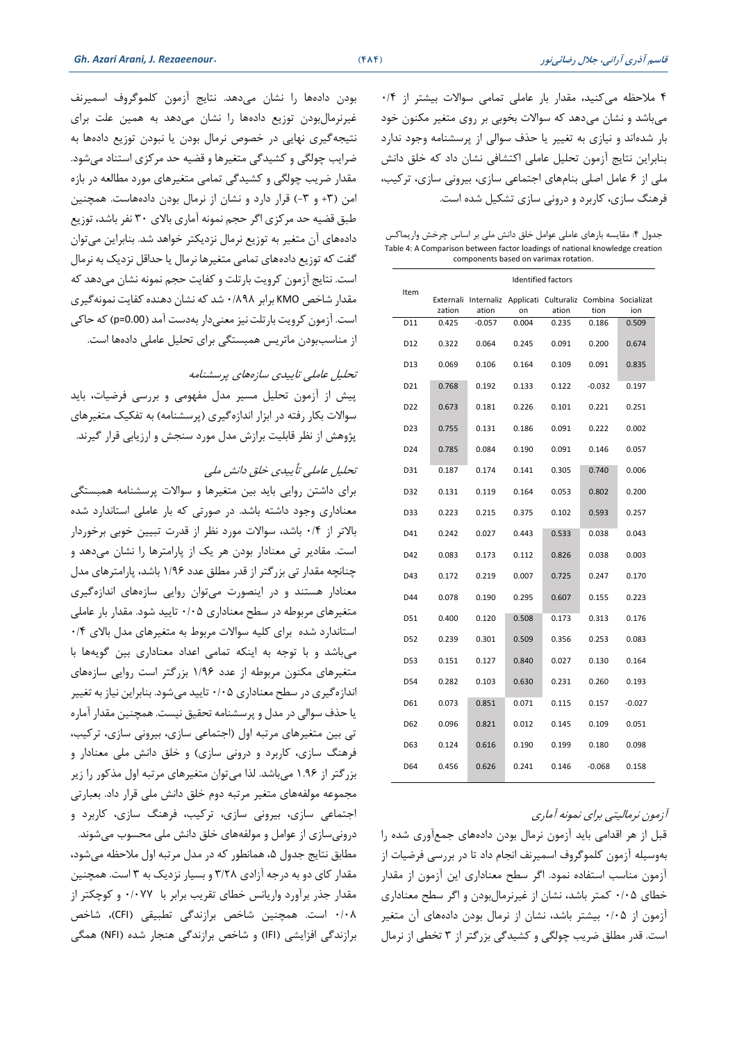4 مالحظه میکنید، مقدار بار عاملی تمامی سواالت بیشتر از 0/4 میباشد و نشان میدهد که سواالت بخوبی بر روی متغیر مکنون خود بار شدهاند و نیازی به تغییر یا حذف سوالی از پرسشنامه وجود ندارد بنابراین نتایج آزمون تحلیل عاملی اکتشافی نشان داد که خلق دانش ملی از 6 عامل اصلی بنامهای اجتماعی سازی، بیرونی سازی، ترکیب، فرهنگ سازی، کاربرد و درونی سازی تشکیل شده است.

جدول ۴: مقایسه بارهای عاملی عوامل خلق دانش ملی بر اساس چرخش واریماکس Table 4: A Comparison between factor loadings of national knowledge creation components based on varimax rotation.

|                 | <b>Identified factors</b> |          |       |                                                             |          |          |
|-----------------|---------------------------|----------|-------|-------------------------------------------------------------|----------|----------|
| Item            | Externali<br>zation       | ation    | on    | Internaliz Applicati Culturaliz Combina Socializat<br>ation | tion     | ion      |
| D11             | 0.425                     | $-0.057$ | 0.004 | 0.235                                                       | 0.186    | 0.509    |
| D12             | 0.322                     | 0.064    | 0.245 | 0.091                                                       | 0.200    | 0.674    |
| D13             | 0.069                     | 0.106    | 0.164 | 0.109                                                       | 0.091    | 0.835    |
| D21             | 0.768                     | 0.192    | 0.133 | 0.122                                                       | $-0.032$ | 0.197    |
| D <sub>22</sub> | 0.673                     | 0.181    | 0.226 | 0.101                                                       | 0.221    | 0.251    |
| D <sub>23</sub> | 0.755                     | 0.131    | 0.186 | 0.091                                                       | 0.222    | 0.002    |
| D <sub>24</sub> | 0.785                     | 0.084    | 0.190 | 0.091                                                       | 0.146    | 0.057    |
| D31             | 0.187                     | 0.174    | 0.141 | 0.305                                                       | 0.740    | 0.006    |
| D32             | 0.131                     | 0.119    | 0.164 | 0.053                                                       | 0.802    | 0.200    |
| D33             | 0.223                     | 0.215    | 0.375 | 0.102                                                       | 0.593    | 0.257    |
| D41             | 0.242                     | 0.027    | 0.443 | 0.533                                                       | 0.038    | 0.043    |
| D42             | 0.083                     | 0.173    | 0.112 | 0.826                                                       | 0.038    | 0.003    |
| D43             | 0.172                     | 0.219    | 0.007 | 0.725                                                       | 0.247    | 0.170    |
| D44             | 0.078                     | 0.190    | 0.295 | 0.607                                                       | 0.155    | 0.223    |
| D51             | 0.400                     | 0.120    | 0.508 | 0.173                                                       | 0.313    | 0.176    |
| D52             | 0.239                     | 0.301    | 0.509 | 0.356                                                       | 0.253    | 0.083    |
| D53             | 0.151                     | 0.127    | 0.840 | 0.027                                                       | 0.130    | 0.164    |
| D54             | 0.282                     | 0.103    | 0.630 | 0.231                                                       | 0.260    | 0.193    |
| D61             | 0.073                     | 0.851    | 0.071 | 0.115                                                       | 0.157    | $-0.027$ |
| D62             | 0.096                     | 0.821    | 0.012 | 0.145                                                       | 0.109    | 0.051    |
| D63             | 0.124                     | 0.616    | 0.190 | 0.199                                                       | 0.180    | 0.098    |
| D64             | 0.456                     | 0.626    | 0.241 | 0.146                                                       | $-0.068$ | 0.158    |

آزمون نرمالیتی برای نمونه آماری

قبل از هر اقدامی باید آزمون نرمال بودن دادههای جمع آوری شده را بهوسیله آزمون کلموگروف اسمیرنف انجام داد تا در بررسی فرضیات از آزمون مناسب استفاده نمود. اگر سطح معناداری این آزمون از مقدار خطای 0/05 کمتر باشد، نشان از غیرنرمالبودن و اگر سطح معناداری آزمون از 0/05 بیشتر باشد، نشان از نرمال بودن دادههای آن متغیر است. قدر مطلق ضریب خولگی و کشیدگی بزرگتر از 3 تخطی از نرمال

بودن دادهها را نشان می دهد. نتایج آزمون کلموگروف اسمیرنف غیرنرمالبودن توزیع دادهها را نشان میدهد به همین علت برای نتیجهگیری نهایی در خصوص نرمال بودن یا نبودن توزیع دادهها به ضرایب خولگی و کشیدگی متغیرها و قضیه حد مرکزی استناد میشود. مقدار ضریب خولگی و کشیدگی تمامی متغیرهای مورد مطالعه در بازه امن (٣+ و ٣-) قرار دارد و نشان از نرمال بودن دادههاست. همچنین طبق قضیه حد مرکزی اگر حجم نمونه آماری بالای ۳۰ نفر باشد، توزیع دادههای آن متغیر به توزیع نرمال نزدیکتر خواهد شد. بنابراین میتوان گفت که توزیع دادههای تمامی متغیرها نرمال یا حداقل نزدیك به نرمال است. نتایج آزمون کرویت بارتلت و کفایت حجم نمونه نشان می دهد که مقدار شاخص KMO برابر 0/898 شد که نشان دهنده کفایت نمونه گیری است. آزمون کرویت بارتلت نیز معنیدار بهدست آمد )0.00=p )که حاکی از مناسببودن ماتریس همبستگی برای تحلیل عاملی دادهها است.

تحلیل عاملی تاییدی سازه های پرسشنامه

پیش از آزمون تحلیل مسیر مدل مفهومی و بررسی فرضیات، باید سوالات بکار رفته در ابزار اندازهگیری (پرسشنامه) به تفکیک متغیرهای پووهش از نظر قابلیت برازش مدل مورد سنجش و ارزیابی قرار گیرند.

تحلیل عاملی تأییدی خلق دانش ملی

برای داشتن روایی باید بین متغیرها و سواالت پرسشنامه همبستگی معناداری وجود داشته باشد. در صورتی که بار عاملی استاندارد شده باالتر از 0/4 باشد، سواالت مورد نظر از قدرت تبیین خوبی برخوردار است. مقادیر تی معنادار بودن هر یك از پارامترها را نشان میدهد و خنانچه مقدار تی بزرگتر از قدر مطلق عدد 1/96 باشد، پارامترهای مدل معنادار هستند و در اینصورت میتوان روایی سازههای اندازهگیری متغیرهای مربوطه در سطح معناداری 0/05 تایید شود. مقدار بار عاملی استاندارد شده برای کلیه سوالات مربوط به متغیرهای مدل بالای ۰/۴ میباشد و با توجه به اینکه تمامی اعداد معناداری بین گویهها با متغیرهای مکنون مربوطه از عدد 1/96 بزرگتر است روایی سازههای اندازه گیری در سطح معناداری 0/05 تایید میشود. بنابراین نیاز به تغییر یا حذف سوالی در مدل و پرسشنامه تحقیق نیست. همچنین مقدار آماره تی بین متغیرهای مرتبه اول )اجتماعی سازی، بیرونی سازی، ترکیب، فرهنگ سازی، کاربرد و درونی سازی) و خلق دانش ملی معنادار و بزرگتر از 1.96 میباشد. لذا میتوان متغیرهای مرتبه اول مذکور را زیر مجموعه مولفه های متغیر مرتبه دوم خلق دانش ملی قرار داد. بعبارتی اجتماعی سازی، بیرونی سازی، ترکیب، فرهنگ سازی، کاربرد و درونیسازی از عوامل و مولفههای خلق دانش ملی محسوب میشوند. مطابق نتایج جدول ۵، همانطور که در مدل مرتبه اول ملاحظه می شود، مقدار کای دو به درجه آزادی 3/28 و بسیار نزدیك به 3 است. همچنین مقدار جذر برآورد واریانس خطای تقریب برابر با 0/077 و کوخکتر از 0/08 است. همچنین شاخص برازندگی تطبیقی )CFI)، شاخص برازندگی افزایشی )IFI )و شاخص برازندگی هنجار شده )NFI )همگی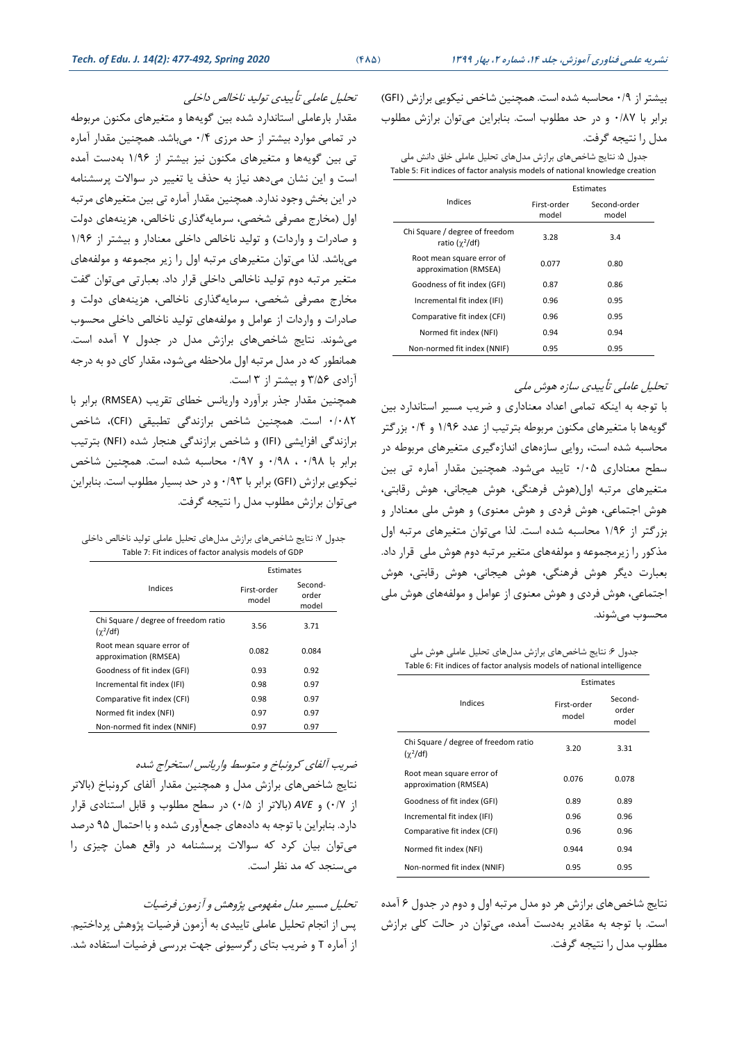بیشتر از 0/9 محاسبه شده است. همچنین شاخص نیکویی برازش )GFI ) برابر با 0/87 و در حد مطلوب است. بنابراین میتوان برازش مطلوب مدل را نتیجه گرفت.

جدول ۵: نتایج شاخصهای برازش مدلهای تحلیل عاملی خلق دانش ملی Table 5: Fit indices of factor analysis models of national knowledge creation

|                                                         | Estimates            |                       |  |  |
|---------------------------------------------------------|----------------------|-----------------------|--|--|
| Indices                                                 | First-order<br>model | Second-order<br>model |  |  |
| Chi Square / degree of freedom<br>ratio ( $\chi^2$ /df) | 3.28                 | 3.4                   |  |  |
| Root mean square error of<br>approximation (RMSEA)      | 0.077                | 0.80                  |  |  |
| Goodness of fit index (GFI)                             | 0.87                 | 0.86                  |  |  |
| Incremental fit index (IFI)                             | 0.96                 | 0.95                  |  |  |
| Comparative fit index (CFI)                             | 0.96                 | 0.95                  |  |  |
| Normed fit index (NFI)                                  | 0.94                 | 0.94                  |  |  |
| Non-normed fit index (NNIF)                             | 0.95                 | 0.95                  |  |  |

تحلیل عاملی تأییدی سازه هوش ملی

با توجه به اینکه تمامی اعداد معناداری و ضریب مسیر استاندارد بین گویهها با متغیرهای مکنون مربوطه بترتیب از عدد 1/96 و 0/4 بزرگتر محاسبه شده است، روایی سازههای اندازهگیری متغیرهای مربوطه در سطح معناداری 0/05 تایید میشود. همچنین مقدار آماره تی بین متغیرهای مرتبه اول)هوش فرهنگی، هوش هیجانی، هوش رقابتی، هوش اجتماعی، هوش فردی و هوش معنوی) و هوش ملی معنادار و بزرگتر از 1/96 محاسبه شده است. لذا میتوان متغیرهای مرتبه اول مذکور را زیرمجموعه و مولفههای متغیر مرتبه دوم هوش ملی قرار داد. بعبارت دیگر هوش فرهنگی، هوش هیجانی، هوش رقابتی، هوش اجتماعی، هوش فردی و هوش معنوی از عوامل و مولفههای هوش ملی محسوب میشوند.

جدول ۶: نتایج شاخصهای برازش مدلهای تحلیل عاملی هوش ملی Table 6: Fit indices of factor analysis models of national intelligence

|                                                       | Estimates            |                           |  |
|-------------------------------------------------------|----------------------|---------------------------|--|
| Indices                                               | First-order<br>model | Second-<br>order<br>model |  |
| Chi Square / degree of freedom ratio<br>$(\chi^2/df)$ | 3.20                 | 3.31                      |  |
| Root mean square error of<br>approximation (RMSEA)    | 0.076                | 0.078                     |  |
| Goodness of fit index (GFI)                           | 0.89                 | 0.89                      |  |
| Incremental fit index (IFI)                           | 0.96                 | 0.96                      |  |
| Comparative fit index (CFI)                           | 0.96                 | 0.96                      |  |
| Normed fit index (NFI)                                | 0.944                | 0.94                      |  |
| Non-normed fit index (NNIF)                           | 0.95                 | 0.95                      |  |

نتایج شاخصهای برازش هر دو مدل مرتبه اول و دوم در جدول 6 آمده است. با توجه به مقادیر بهدست آمده، میتوان در حالت کلی برازش مطلوب مدل را نتیجه گرفت.

تحلیل عاملی تأییدی تولید ناخالص داخلی

مقدار بارعاملی استاندارد شده بین گویهها و متغیرهای مکنون مربوطه در تمامی موارد بیشتر از حد مرزی 0/4 میباشد. همچنین مقدار آماره تی بین گویهها و متغیرهای مکنون نیز بیشتر از 1/96 بهدست آمده است و این نشان میدهد نیاز به حذف یا تغییر در سواالت پرسشنامه در این بخش وجود ندارد. همچنین مقدار آماره تی بین متغیرهای مرتبه اول )مخارج مصرفی شخصی، سرمایه گذاری ناخالص، هزینههای دولت و صادرات و واردات) و تولید ناخالص داخلی معنادار و بیشتر از ۱/۹۶ میباشد. لذا میتوان متغیرهای مرتبه اول را زیر مجموعه و مولفههای متغیر مرتبه دوم تولید ناخالص داخلی قرار داد. بعبارتی میتوان گفت مخارج مصرفی شخصی، سرمایهگذاری ناخالص، هزینههای دولت و صادرات و واردات از عو امل و مولفههای تولید ناخالص داخلی محسوب میشوند. نتایج شاخصهای برازش مدل در جدول 7 آمده است. همانطور که در مدل مرتبه اول مالحظه میشود، مقدار کای دو به درجه آزادی 3/56 و بیشتر از 3 است.

همچنین مقدار جذر برآورد واریانس خطای تقریب ) RMSEA )برابر با 0/082 است. همچنین شاخص برازندگی تطبیقی )CFI)، شاخص برازندگی افزایشی )IFI )و شاخص برازندگی هنجار شده )NFI )بترتیب برابر با 0/98 ، 0/98 و 0/97 محاسبه شده است. همچنین شاخص نیکویی برازش )GFI )برابر با 0/93 و در حد بسیار مطلوب است. بنابراین میتوان برازش مطلوب مدل را نتیجه گرفت.

جدول ٧: نتایج شاخص های برازش مدل های تحلیل عاملی تولید ناخالص داخلی Table 7: Fit indices of factor analysis models of GDP

|                                                         | Estimates            |                           |
|---------------------------------------------------------|----------------------|---------------------------|
| Indices                                                 | First-order<br>model | Second-<br>order<br>model |
| Chi Square / degree of freedom ratio<br>$(\gamma^2/df)$ | 3.56                 | 3.71                      |
| Root mean square error of<br>approximation (RMSEA)      | 0.082                | 0.084                     |
| Goodness of fit index (GFI)                             | 0.93                 | 0.92                      |
| Incremental fit index (IFI)                             | 0.98                 | 0.97                      |
| Comparative fit index (CFI)                             | 0.98                 | 0.97                      |
| Normed fit index (NFI)                                  | 0.97                 | 0.97                      |
| Non-normed fit index (NNIF)                             | 0.97                 | 0.97                      |

ضریب آلفای کرونباخ و متوسط واریانس استخراج شده

نتایج شاخص های برازش مدل و همچنین مقدار آلفای کرونباخ )باالتر از 0/7( و *AVE*( باالتر از 0/5( در سطح مطلوب و قابل استنادی قرار دارد. بنابراین با توجه به داده های جمع آوری شده و با احتمال 95 درصد میتوان بیان کرد که سواالت پرسشنامه در واقع همان خیزی را میسنجد که مد نظر است.

تحلیل مسیر مدل مفهومی پووهش و آزمون فرضیات پس از انجام تحلیل عاملی تاییدی به آزمون فرضیات پووهش پرداختیم. از آماره T و ضریب بتای رگرسیونی جهت بررسی فرضیات استفاده شد.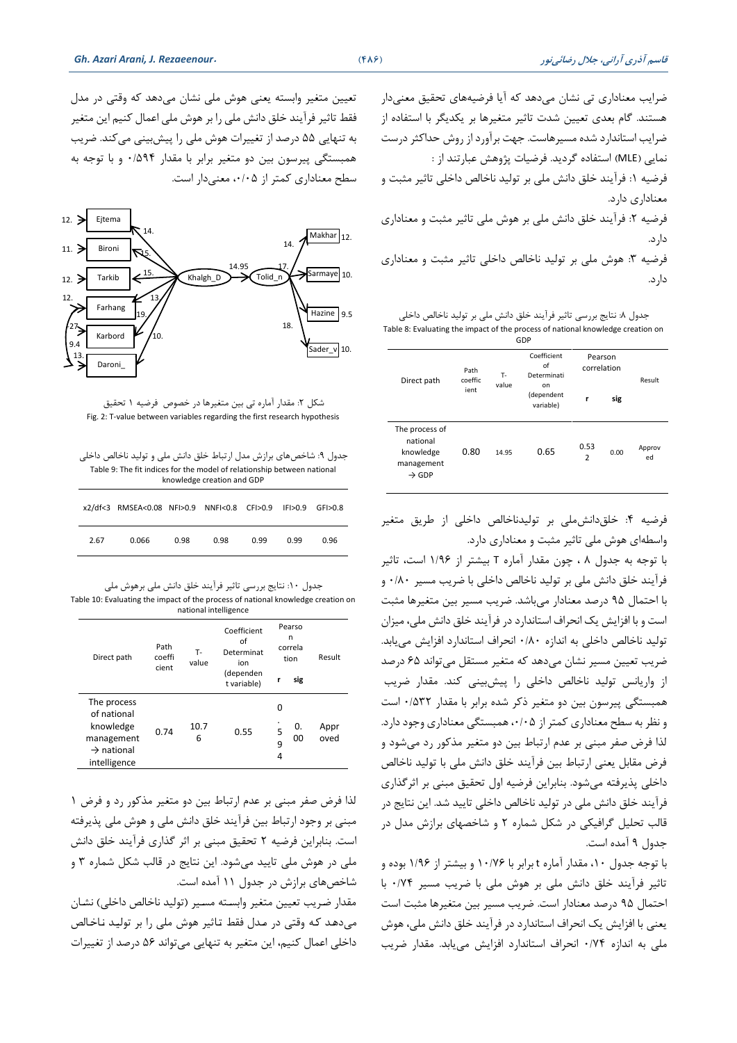ضرایب معناداری تی نشان می دهد که آیا فرضیههای تحقیق معنیدار هستند. گام بعدی تعیین شدت تاثیر متغیرها بر یکدیگر با استفاده از ضرایب استاندارد شده مسیرهاست. جهت برآورد از روش حداکثر درست نمایی **)**MLE **)**استفاده گردید. فرضیات پووهش عبارتند از : فرضیه ۱: فرآیند خلق دانش ملی بر تولید ناخالص داخلی تاثیر مثبت و معناداری دارد. فرضیه ٢: فرآیند خلق دانش ملی بر هوش ملی تاثیر مثبت و معناداری دارد.

فرضیه ٣: هوش ملی بر تولید ناخالص داخلی تاثیر مثبت و معناداری دارد.

جدول ٨: نتایج بررسی تاثیر فرآیند خلق دانش ملی بر تولید ناخالص داخلی Table 8: Evaluating the impact of the process of national knowledge creation on GDP

| Direct path                                                                | Coefficient<br>of<br>Path<br>т.<br>Determinati<br>coeffic |       | Pearson<br>correlation        |                        |      |              |
|----------------------------------------------------------------------------|-----------------------------------------------------------|-------|-------------------------------|------------------------|------|--------------|
|                                                                            | ient                                                      | value | on<br>(dependent<br>variable) | r                      | sig  | Result       |
| The process of<br>national<br>knowledge<br>management<br>$\rightarrow$ GDP | 0.80                                                      | 14.95 | 0.65                          | 0.53<br>$\overline{2}$ | 0.00 | Approv<br>ed |

فرضیه :4 خلقدانشملی بر تولیدناخالص داخلی از طریق متغیر واسطه ای هوش ملی تاثیر مثبت و معناداری دارد.

با توجه به جدول 8 ، خون مقدار آماره T بیشتر از 1/96 است، تاثیر فرآیند خلق دانش ملی بر تولید ناخالص داخلی با ضریب مسیر 0/80 و با احتمال 95 درصد معنادار میباشد. ضریب مسیر بین متغیرها مثبت است و با افزایش یك انحراف استاندارد در فرآیند خلق دانش ملی، میزان تولید ناخالص داخلی به اندازه 0/80 انحراف استاندارد افزایش مییابد. ضریب تعیین مسیر نشان میدهد که متغیر مستقل میتواند 65 درصد از واریانس تولید ناخالص داخلی را پیشبینی کند. مقدار ضریب همبستگی پیرسون بین دو متغیر ذکر شده برابر با مقدار 0/532 است و نظر به سطح معناداری کمتر از /05 ،0 همبستگی معناداری وجود دارد. لذا فرض صفر مبنی بر عدم ارتباط بین دو متغیر مذکور رد میشود و فرض مقابل یعنی ارتباط بین فرآیند خلق دانش ملی با تولید ناخالص داخلی پذیرفته می شود. بنابراین فرضیه اول تحقیق مبنی بر اثرگذاری فرآیند خلق دانش ملی در تولید ناخالص داخلی تایید شد. این نتایج در قالب تحلیل گرافیکی در شکل شماره 2 و شاخصهای برازش مدل در جدول 9 آمده است.

با توجه جدول ،10 مقدار آماره t برابر با 10/76 و بیشتر از 1/96 بوده و تاثیر فرآیند خلق دانش ملی بر هوش ملی با ضریب مسیر 0/74 با احتمال 95 درصد معنادار است. ضریب مسیر بین متغیرها مثبت است یعنی با افزایش یك انحراف استاندارد در فرآیند خلق دانش ملی، هوش ملی به اندازه 0/74 انحراف استاندارد افزایش مییابد. مقدار ضریب

تعیین متغیر وابسته یعنی هوش ملی نشان میدهد که وقتی در مدل فقط تاثیر فرآیند خلق دانش ملی را بر هوش ملی اعمال کنیم این متغیر به تنهایی 55 درصد از تغییرات هوش ملی را پیشبینی میکند. ضریب همبستگی پیرسون بین دو متغیر برابر با مقدار 0/594 و با توجه به سطح معناداری کمتر از ،0/05 معنیدار است.



شکل ۲: مقدار آماره تی بین متغیرها در خصوص فرضیه ۱ تحقیق Fig. 2: T-value between variables regarding the first research hypothesis

| جدول ۹: شاخصهای برازش مدل ارتباط خلق دانش ملی و تولید ناخالص داخلی      |
|-------------------------------------------------------------------------|
| Table 9: The fit indices for the model of relationship between national |
| knowledge creation and GDP                                              |

|      | x2/df<3 RMSEA<0.08 NFI>0.9 NNFI<0.8 CFI>0.9 IFI>0.9 GFI>0.8 |      |      |      |      |      |
|------|-------------------------------------------------------------|------|------|------|------|------|
| 2.67 | 0.066                                                       | 0.98 | 0.98 | 0.99 | 0.99 | 0.96 |

جدول :10 نتایج بررسی تاثیر فرآیند خلق دانش ملی برهوش ملی Table 10: Evaluating the impact of the process of national knowledge creation on national intelligence

| Direct path                                                                                     | Path<br>coeffi<br>cient | т.<br>value | Coefficient<br>of<br>Determinat<br>ion | Pearso<br>n<br>correla<br>tion | Result       |
|-------------------------------------------------------------------------------------------------|-------------------------|-------------|----------------------------------------|--------------------------------|--------------|
|                                                                                                 |                         |             | (dependen<br>t variable)               | sig<br>r                       |              |
| The process<br>of national<br>knowledge<br>management<br>$\rightarrow$ national<br>intelligence | 0.74                    | 10.7<br>6   | 0.55                                   | 0<br>0.<br>5<br>00<br>9<br>4   | Appr<br>oved |

لذا فرض صفر مبنی بر عدم ارتباط بین دو متغیر مذکور رد و فرض 1 مبنی بر وجود ارتباط بین فرآیند خلق دانش ملی و هوش ملی پذیرفته است. بنابراین فرضیه 2 تحقیق مبنی بر اثر گذاری فرآیند خلق دانش ملی در هوش ملی تایید میشود. این نتایج در قالب شکل شماره 3 و شاخص های برازش در جدول 11 آمده است.

مقدار ضریب تعیین متغیر وابسته مسیر (تولید ناخالص داخلی) نشان میدهتد کته وقتی در متدل فقط تتاثیر هوش ملی را بر تولیتد نتاختالص داخلی اعمال کنیم، این متغیر به تنهایی میتواند 56 درصد از تغییرات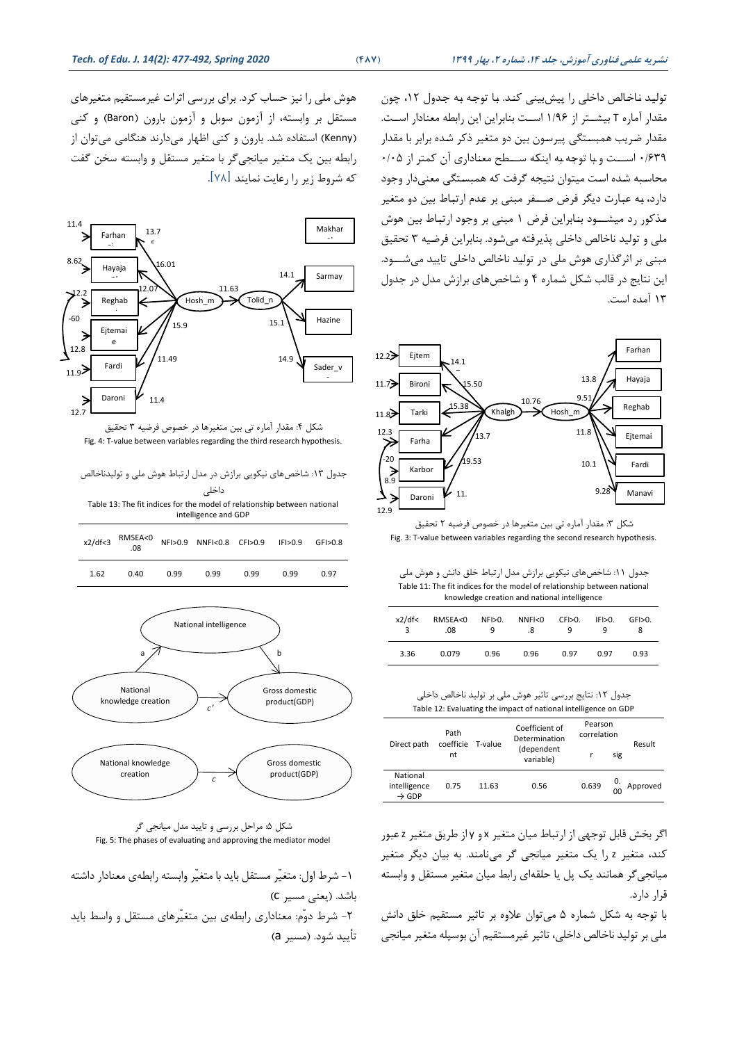تولید ناخالص داخلی را پیشبینی کند. با توجه به جدول ١٢، چون مقدار آماره T بیشـتر از ۱/۹۶ اسـت بنابراین این رابطه معنادار اسـت. مقدار ضریب همبستگی پیرسون بین دو متغیر ذکر شده برابر با مقدار 0/639 استتتت و بتا توجته بته اینکته ستتتطح معنتاداری آن کمتر از 0/05 محاستبه شتده استت میتوان نتیجه گرفت که همبستتگی معنیدار وجود دارد، به عبارت دیگر فرض صــفر مبنی بر عدم ارتباط بین دو متغیر متذکور رد میشتتتود بنتابراین فرض 1 مبنی بر وجود ارتبتاط بین هوش ملی و تولید ناخالص داخلی پذیرفته میشتود. بنابراین فرضتیه 3 تحقیق مبنی بر اثرگذاری هوش ملی در تولیتد ناخالص داخلی تایید میشتتتود. این نتایج در قالب شتکل شتماره 4 و شتاخصهای برازش مدل در جدول 13 آمده است.



شکل ٣: مقدار آماره تی بین متغیرها در خصوص فرضیه ٢ تحقیق Fig. 3: T-value between variables regarding the second research hypothesis.

جدول :11 شاخصهای نیکویی برازش مدل ارتباط خلق دانش و هوش ملی Table 11: The fit indices for the model of relationship between national knowledge creation and national intelligence

| x2/df<<br>3 | RMSEA<0<br>.08 | NF>0.<br>q | NNF < 0<br>.8 | CFI>0.<br>q | IF>0. | GF>0. |
|-------------|----------------|------------|---------------|-------------|-------|-------|
| 3.36        | 0.079          | 0.96       | 0.96          | 0.97        | 0.97  | 0.93  |

جدول :12 نتایج بررسی تاثیر هوش ملی بر تولید ناخالص داخلی Table 12: Evaluating the impact of national intelligence on GDP

|                                               | Path                       |                         | Coefficient of<br>Determination | Pearson<br>correlation |                      |          |
|-----------------------------------------------|----------------------------|-------------------------|---------------------------------|------------------------|----------------------|----------|
| Direct path                                   | coefficie<br>T-value<br>nt | (dependent<br>variable) |                                 | sig                    | Result               |          |
| National<br>intelligence<br>$\rightarrow$ GDP | 0.75                       | 11.63                   | 0.56                            | 0.639                  | 0.<br>0 <sub>0</sub> | Approved |

اگر بخش قابل توجهی از ارتباط میان متغیر x و y از طریق متغیر z عبور کند، متغیر z را یك متغیر میانجی گر مینامند. به بیان دیگر متغیر میانجیگر همانند یك پل یا حلقهای رابط میان متغیر مستقل و وابسته قرار دارد.

با توجه به شکل شماره 5 میتوان عالوه بر تاثیر مستقیم خلق دانش ملی بر تولید ناخالص داخلی، تاثیر غیرمستقیم آن بوسیله متغیر میانجی

هوش ملی را نیز حساب کرد. برای بررسی اثرات غیرمستقیم متغیرهای مستقل بر وابسته، از آزمون سوبل و آزمون بارون )Baron )و کنی )Kenny )استفاده شد. بارون و کنی اظهار میدارند هنگامی میتوان از رابطه بین یك متغیر میانجیگر با متغیر مستقل و وابسته سخن گفت که شروط زیر را رعایت نمایند ]78[.



شکل ۴: مقدار آماره تی بین متغیرها در خصوص فرضیه ۳ تحقیق Fig. 4: T-value between variables regarding the third research hypothesis.

| جدول ۱۳: شاخصهای نیکویی برازش در مدل ارتباط هوش ملی و تولیدناخالص |  |
|-------------------------------------------------------------------|--|
| داخلی                                                             |  |

Table 13: The fit indices for the model of relationship between national intelligence and GDP

| x2/df < 3 | RMSEA<0<br>.08 |      | NFI>0.9 NNFI<0.8 CFI>0.9 IFI>0.9 |      |      | GF > 0.8 |
|-----------|----------------|------|----------------------------------|------|------|----------|
| 1.62      | 0.40           | 0.99 | 0.99                             | 0.99 | 0.99 | 0.97     |





 -1 شرط اول: متغیّر مستقل باید با متغیّر وابسته رابطه ی معنادار داشته باشد. )یعنی مسیر c) -2 شرط دوّم: معناداری رابطه ی بین متغیّرهای مستقل و واسط باید تأیید شود. (مسیر a)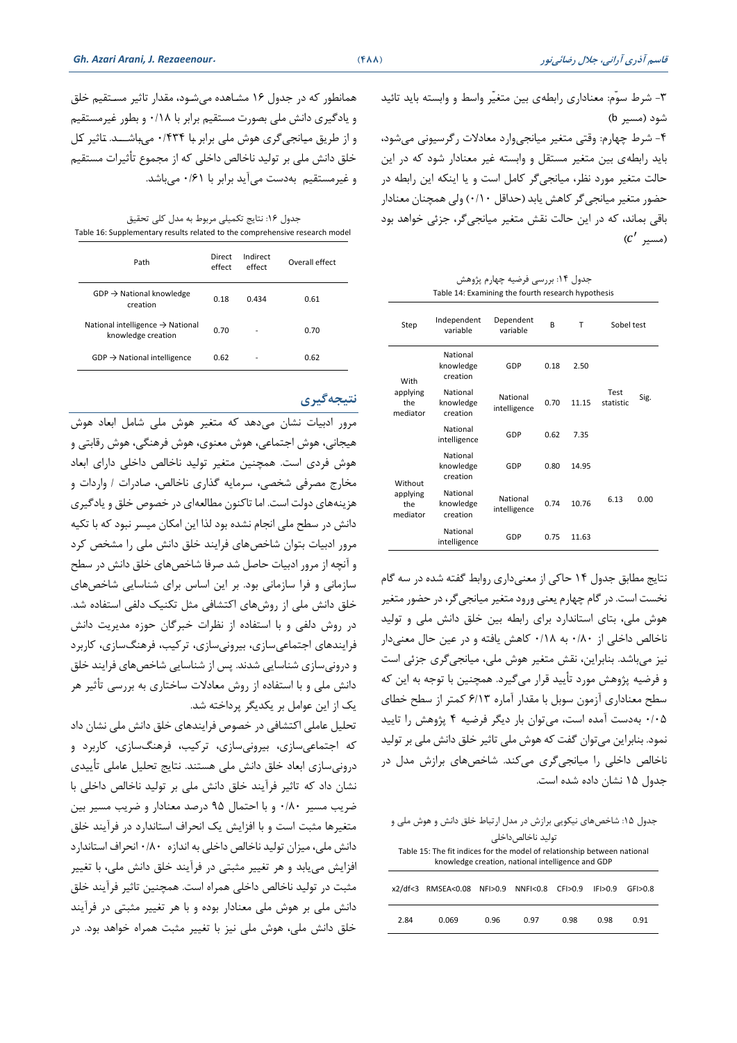-3 شرط سوّم: معناداری رابطه ی بین متغیّر واسط و وابسته باید تائید شود (مسیر b)

-4 شرط خهارم: وقتی متغیر میانجیوارد معادالت رگرسیونی میشود، باید رابطه ی بین متغیر مستقل و وابسته غیر معنادار شود که در این حالت متغیر مورد نظر، میانجی گر کامل است و یا اینکه این رابطه در حضور متغیر میانجیگر کاهش یابد )حداقل 0/10( ولی همچنان معنادار باقی بماند، که در این حالت نقش متغیر میانجیگر، جزئی خواهد بود ( $c'$  )مسیر)

جدول ۱۴: بررسی فرضیه چهارم پژوهش Table 14: Examining the fourth research hypothesis

| Step                        | Independent<br>variable           | Dependent<br>variable    | R    | Т     | Sobel test        |      |
|-----------------------------|-----------------------------------|--------------------------|------|-------|-------------------|------|
| With                        | National<br>knowledge<br>creation | GDP                      | 0.18 | 2.50  |                   |      |
| applying<br>the<br>mediator | National<br>knowledge<br>creation | National<br>intelligence | 0.70 | 11 15 | Test<br>statistic | Sig. |
|                             | National<br>intelligence          | GDP                      | 0.62 | 7.35  |                   |      |
| Without                     | National<br>knowledge<br>creation | GDP                      | 0.80 | 14.95 |                   |      |
| applying<br>the<br>mediator | National<br>knowledge<br>creation | National<br>intelligence | 0.74 | 10.76 | 6.13              | 0.00 |
|                             | National<br>intelligence          | GDP                      | 0.75 | 11.63 |                   |      |

نتایج مطابق جدول 14 حاکی از معنیداری روابط گفته شده در سه گام نخست است. در گام خهارم یعنی ورود متغیر میانجیگر، در حضور متغیر هوش ملی، بتای استاندارد برای رابطه بین خلق دانش ملی و تولید ناخالص داخلی از 0/80 به 0/18 کاهش یافته و در عین حال معنی دار نیز می باشد. بنابراین، نقش متغیر هوش ملی، میانجی گری جزئی است و فرضیه پووهش مورد تأیید قرار میگیرد. همچنین با توجه به این که سطح معناداری آزمون سوبل با مقدار آماره 6/13 کمتر از سطح خطای 0/05 بهدست آمده است، میتوان بار دیگر فرضیه 4 پووهش را تایید نمود. بنابراین می توان گفت که هوش ملی تاثیر خلق دانش ملی بر تولید ناخالص داخلی را میانجی گری می کند. شاخصهای برازش مدل در جدول 15 نشان داده شده است.

| جدول ۱۵: شاخصهای نیکویی برازش در مدل ارتباط خلق دانش و هوش ملی و |                                                                          |  |                    |        |                   |          |  |
|------------------------------------------------------------------|--------------------------------------------------------------------------|--|--------------------|--------|-------------------|----------|--|
|                                                                  |                                                                          |  | تولىد ناخالص داخلى |        |                   |          |  |
|                                                                  | Table 15: The fit indices for the model of relationship between national |  |                    |        |                   |          |  |
|                                                                  | knowledge creation, national intelligence and GDP                        |  |                    |        |                   |          |  |
| x2/df < 3                                                        | RMSEA<0.08 NFI>0.9                                                       |  | NNF <sub>0.8</sub> | CFI>09 | IF <sub>0</sub> 9 | GF > 0.8 |  |
| 2.84<br>0.96<br>0.069<br>0.98<br>0.98<br>በ 97<br>በ 91            |                                                                          |  |                    |        |                   |          |  |

همانطور که در جدول 16 مشتاهده میشتود، مقدار تاثیر مستتقیم خلق و یادگیری دانش ملی بصورت مستقیم برابر با 0/18 و بطور غیرمستقیم و از طریق میانجیگری هوش ملی برابر با ۰/۴۳۴ میباشــد. تاثیر کل خلق دانش ملی بر تولید ناخالص داخلی که از مجموع تأثیرات مستقیم و غیرمستقیم بهدست میآید برابر با 0/61 میباشد.

جدول ۱۶: نتایج تکمیلی مربوط به مدل کلی تحقیق Table 16: Supplementary results related to the comprehensive research model

| Path                                                               | Direct<br>effect | Indirect<br>effect | Overall effect |
|--------------------------------------------------------------------|------------------|--------------------|----------------|
| $GDP \rightarrow National knowledge$<br>creation                   | 0.18             | 0.434              | 0.61           |
| National intelligence $\rightarrow$ National<br>knowledge creation | 0.70             |                    | 0.70           |
| $GDP \rightarrow National$ intelligence                            | 0.62             |                    | 0.62           |

### **نتیجهگیری**

مرور ادبیات نشان میدهد که متغیر هوش ملی شامل ابعاد هوش هیجانی، هوش اجتماعی، هوش معنوی، هوش فرهنگی، هوش رقابتی و هوش فردی است. همچنین متغیر تولید ناخالص داخلی دارای ابعاد مخارج مصرفی شخصی، سرمایه گذاری ناخالص، صادرات / واردات و هزینههای دولت است. اما تاکنون مطالعهای در خصوص خلق و یادگیری دانش در سطح ملی انجام نشده بود لذا این امکان میسر نبود که با تکیه مرور ادبیات بتوان شاخص های فرایند خلق دانش ملی را مشخص کرد و آنچه از مرور ادبیات حاصل شد صرفا شاخص های خلق دانش در سطح سازمانی و فرا سازمانی بود. بر این اساس برای شناسایی شاخص های خلق دانش ملی از روش های اکتشافی مثل تکنیك دلفی استفاده شد. در روش دلفی و با استفاده از نظرات خبرگان حوزه مدیریت دانش فرایندهای اجتماعیسازی، بیرونی سازی ، ترکیب، فرهنگ سازی، کاربرد و درونی سازی شناسایی شدند. پس از شناسایی شاخص های فرایند خلق دانش ملی و با استفاده از روش معادالت ساختاری به بررسی تأثیر هر یك از این عوامل بر یکدیگر پرداخته شد.

تحلیل عاملی اکتشافی در خصوص فرایندهای خلق دانش ملی نشان داد که اجتماعی سازی، بیرونیسازی ، ترکیب، فرهنگ سازی، کاربرد و درونیسازی ابعاد خلق دانش ملی هستند. نتایج تحلیل عاملی تأییدی نشان داد که تاثیر فرآیند خلق دانش ملی بر تولید ناخالص داخلی با ضریب مسیر 0/80 و با احتمال 95 درصد معنادار و ضریب مسیر بین متغیرها مثبت است و با افزایش یك انحراف استاندارد در فرآیند خلق دانش ملی، میزان تولید ناخالص داخلی به اندازه 0/80 انحراف استاندارد افزایش مییابد و هر تغییر مثبتی در فرآیند خلق دانش ملی، با تغییر مثبت در تولید ناخالص داخلی همراه است. همچنین تاثیر فرآیند خلق دانش ملی بر هوش ملی معنادار بوده و با هر تغییر مثبتی در فرآیند خلق دانش ملی، هوش ملی نیز با تغییر مثبت همراه خواهد بود. در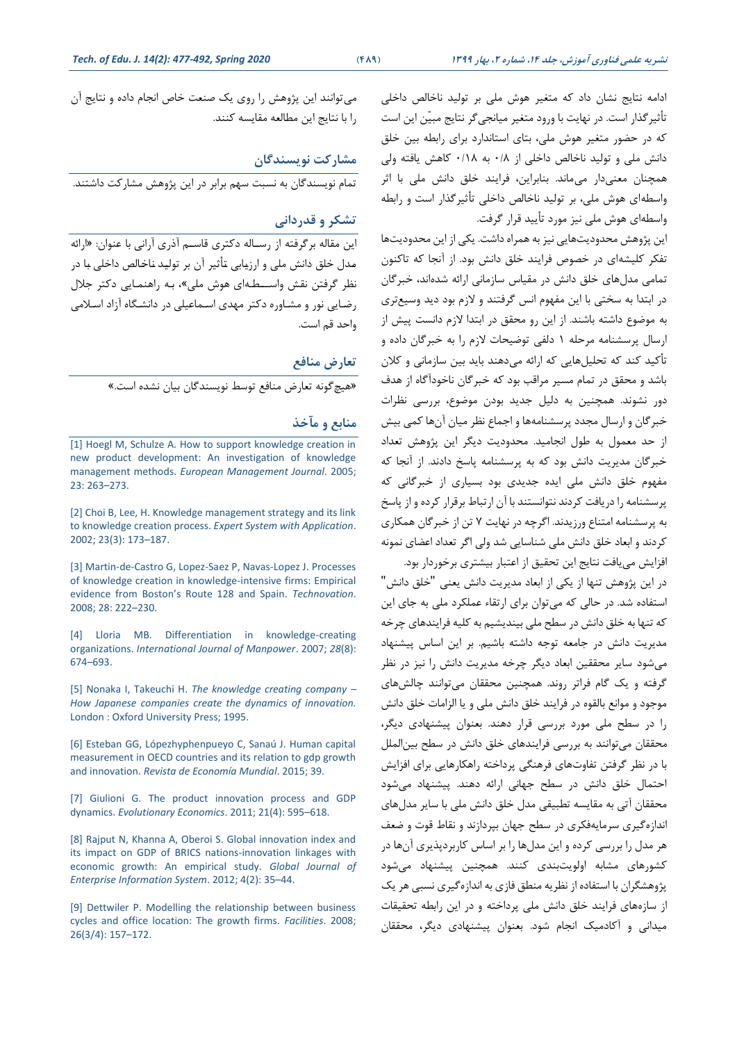ادامه نتایج نشان داد که متغیر هوش ملی بر تولید ناخالص داخلی تأثیرگذار است. در نهایت با ورود متغیر میانجی گر نتایج مبیّن این است که در حضور متغیر هوش ملی، بتای استاندارد برای رابطه بین خلق دانش ملی و تولید ناخالص داخلی از 0/8 به 0/18 کاهش یافته ولی همچنان معنیدار میماند. بنابراین، فرایند خلق دانش ملی با اثر واسطه ای هوش ملی، بر تولید ناخالص داخلی تأثیرگذار است و رابطه واسطه ای هوش ملی نیز مورد تأیید قرار گرفت.

این پووهش محدودیت هایی نیز به همراه داشت. یکی از این محدودیت ها تفکر کلیشهای در خصوص فرایند خلق دانش بود. از آنجا که تاکنون تمامی مدل های خلق دانش در مقیاس سازمانی ارائه شده اند، خبرگان در ابتدا به سختی با این مفهوم انس گرفتند و الزم بود دید وسیع تری به موضوع داشته باشند. از این رو محقق در ابتدا الزم دانست پیش از ارسال پرسشنامه مرحله 1 دلفی توضیحات الزم را به خبرگان داده و تأکید کند که تحلیلهایی که ارائه میدهند باید بین سازمانی و کالن باشد و محقق در تمام مسیر مراقب بود که خبرگان ناخودآگاه از هدف دور نشوند. همچنین به دلیل جدید بودن موضوع، بررسی نظرات خبرگان و ارسال مجدد پرسشنامهها و اجماع نظر میان آن ها کمی بیش از حد معمول به طول انجامید. محدودیت دیگر این پووهش تعداد خبرگان مدیریت دانش بود که به پرسشنامه پاسخ دادند. از آنجا که مفهوم خلق دانش ملی ایده جدیدی بود بسیاری از خبرگانی که پرسشنامه را دریافت کردند نتوانستند با آن ارتباط برقرار کرده و از پاسخ به پرسشنامه امتناع ورزیدند. اگرخه در نهایت 7 تن از خبرگان همکاری کردند و ابعاد خلق دانش ملی شناسایی شد ولی اگر تعداد اعضای نمونه افزایش می یافت نتایج این تحقیق از اعتبار بیشتری برخوردار بود.

در این پووهش تنها از یکی از ابعاد مدیریت دانش یعنی "خلق دانش" استفاده شد. در حالی که میتوان برای ارتقاء عملکرد ملی به جای این که تنها به خلق دانش در سطح ملی بیندیشیم به کلیه فرایندهای خرخه مدیریت دانش در جامعه توجه داشته باشیم. بر این اساس پیشنهاد میشود سایر محققین ابعاد دیگر خرخه مدیریت دانش را نیز در نظر گرفته و یك گام فراتر روند. همچنین محققان میتوانند خالش های موجود و موانع بالقوه در فرایند خلق دانش ملی و یا الزامات خلق دانش را در سطح ملی مورد بررسی قرار دهند. بعنوان پیشنهادی دیگر، محققان می توانند به بررسی فرایندهای خلق دانش در سطح بین الملل با در نظر گرفتن تفاوت های فرهنگی پرداخته راهکارهایی برای افزایش احتمال خلق دانش در سطح جهانی ارائه دهند. پیشنهاد میشود محققان آتی به مقایسه تطبیقی مدل خلق دانش ملی با سایر مدلهای اندازه گیری سرمایه فکری در سطح جهان بپردازند و نقاط قوت و ضعف هر مدل را بررسی کرده و این مدل ها را بر اساس کاربردپذیری آن ها در کشورهای مشابه اولویت بندی کنند. همچنین پیشنهاد می شود پووهشگران با استفاده از نظریه منطق فازی به اندازه گیری نسبی هر یك از سازه های فرایند خلق دانش ملی پرداخته و در این رابطه تحقیقات میدانی و آکادمیك انجام شود. بعنوان پیشنهادی دیگر، محققان

میتوانند این پووهش را روی یك صنعت خاص انجام داده و نتایج آن را با نتایج این مطالعه مقایسه کنند.

**مشارکت نويسندگان**

تمام نویسندگان به نسبت سهم برابر در این پووهش مشارکت داشتند.

## **تشکر و قدردانی**

این مقاله برگرفته از رستاله دکتری قاستم آذری آرانی با عنوان: »ارائه متدل خلق دانش ملی و ارزیتابی تتأثیر آن بر تولیتد نتاختالص داخلی بتا در نظر گرفتن نقش واستطهای هوش ملی»، به راهنمایی دکتر جلال رضتایی نور و مشتاوره دکتر مهدی استماعیلی در دانشتگاه آزاد استالمی واحد قم است.

#### **تعارض منافع**

»هیچگونه تعارض منافع توسط نویسندگان بیان نشده است.«

#### **منابع و مآخذ**

[1] Hoegl M, Schulze A. How to support knowledge creation in new product development: An investigation of knowledge management methods. *European Management Journal*. 2005; 23: 263–273.

[2] Choi B, Lee, H. Knowledge management strategy and its link to knowledge creation process. *Expert System with Application*. 2002; 23(3): 173–187.

[3] Martin-de-Castro G, Lopez-Saez P, Navas-Lopez J. Processes of knowledge creation in knowledge-intensive firms: Empirical evidence from Boston's Route 128 and Spain. *Technovation*. 2008; 28: 222–230.

[4] Lloria MB. Differentiation in knowledge-creating organizations. *International Journal of Manpower*. 2007; *28*(8): 674–693.

[5] Nonaka I, Takeuchi H. *The knowledge creating company – How Japanese companies create the dynamics of innovation.* London : Oxford University Press; 1995.

[6] Esteban GG, Lópezhyphenpueyo C, Sanaú J. Human capital measurement in OECD countries and its relation to gdp growth and innovation. *Revista de Economía Mundial*. 2015; 39.

[7] Giulioni G. The product innovation process and GDP dynamics. *Evolutionary Economics*. 2011; 21(4): 595–618.

[8] Rajput N, Khanna A, Oberoi S. Global innovation index and its impact on GDP of BRICS nations-innovation linkages with economic growth: An empirical study. *Global Journal of Enterprise Information System*. 2012; 4(2): 35–44.

[9] Dettwiler P. Modelling the relationship between business cycles and office location: The growth firms. *Facilities*. 2008; 26(3/4): 157–172.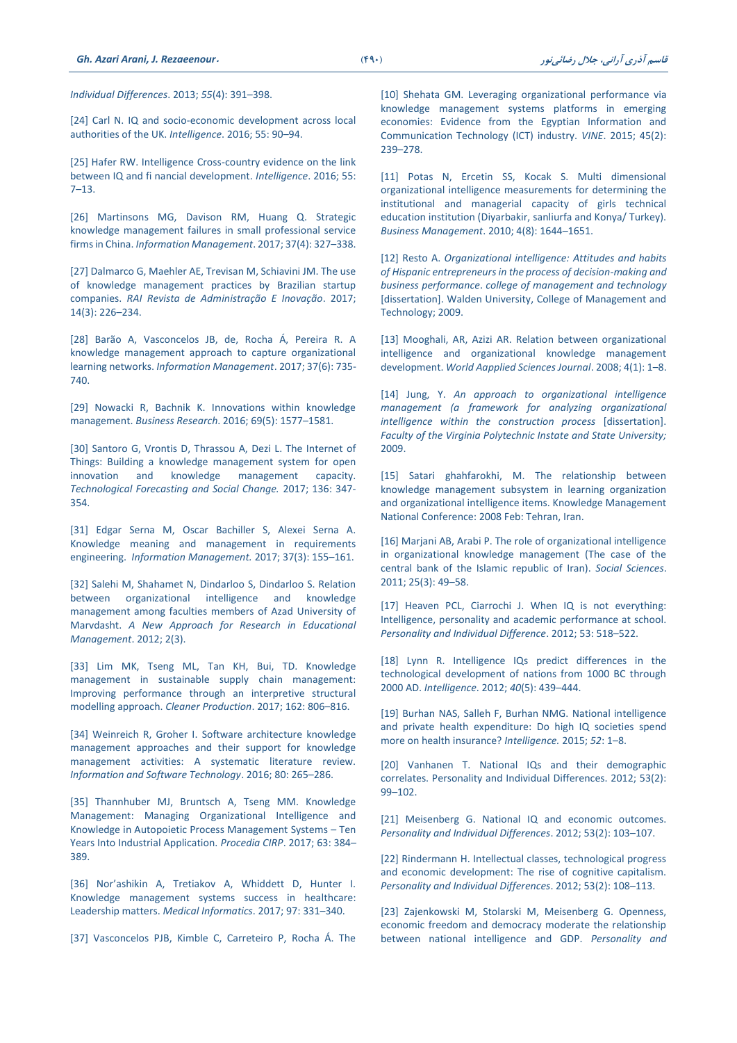*Individual Differences*. 2013; *55*(4): 391–398.

[24] Carl N. IQ and socio-economic development across local authorities of the UK. *Intelligence*. 2016; 55: 90–94.

[25] Hafer RW. Intelligence Cross-country evidence on the link between IQ and fi nancial development. *Intelligence*. 2016; 55: 7–13.

[26] Martinsons MG, Davison RM, Huang Q. Strategic knowledge management failures in small professional service firms in China. *Information Management*. 2017; 37(4): 327–338.

[27] Dalmarco G, Maehler AE, Trevisan M, Schiavini JM. The use of knowledge management practices by Brazilian startup companies. *RAI Revista de Administração E Inovação*. 2017; 14(3): 226–234.

[28] Barão A, Vasconcelos JB, de, Rocha Á, Pereira R. A knowledge management approach to capture organizational learning networks. *Information Management*. 2017; 37(6): 735- 740.

[29] Nowacki R, Bachnik K. Innovations within knowledge management. *Business Research*. 2016; 69(5): 1577–1581.

[30] Santoro G, Vrontis D, Thrassou A, Dezi L. The Internet of Things: Building a knowledge management system for open innovation and knowledge management capacity. *Technological Forecasting and Social Change.* 2017; 136: 347- 354.

[31] Edgar Serna M, Oscar Bachiller S, Alexei Serna A. Knowledge meaning and management in requirements engineering. *Information Management.* 2017; 37(3): 155–161.

[32] Salehi M, Shahamet N, Dindarloo S, Dindarloo S. Relation between organizational intelligence and knowledge management among faculties members of Azad University of Marvdasht. *A New Approach for Research in Educational Management*. 2012; 2(3).

[33] Lim MK, Tseng ML, Tan KH, Bui, TD. Knowledge management in sustainable supply chain management: Improving performance through an interpretive structural modelling approach. *Cleaner Production*. 2017; 162: 806–816.

[34] Weinreich R. Groher I. Software architecture knowledge management approaches and their support for knowledge management activities: A systematic literature review. *Information and Software Technology*. 2016; 80: 265–286.

[35] Thannhuber MJ, Bruntsch A, Tseng MM. Knowledge Management: Managing Organizational Intelligence and Knowledge in Autopoietic Process Management Systems – Ten Years Into Industrial Application. *Procedia CIRP*. 2017; 63: 384– 389.

[36] Nor'ashikin A, Tretiakov A, Whiddett D, Hunter I. Knowledge management systems success in healthcare: Leadership matters. *Medical Informatics*. 2017; 97: 331–340.

[37] Vasconcelos PJB, Kimble C, Carreteiro P, Rocha Á. The

[10] Shehata GM. Leveraging organizational performance via knowledge management systems platforms in emerging economies: Evidence from the Egyptian Information and Communication Technology (ICT) industry. *VINE*. 2015; 45(2): 239–278.

[11] Potas N, Ercetin SS, Kocak S. Multi dimensional organizational intelligence measurements for determining the institutional and managerial capacity of girls technical education institution (Diyarbakir, sanliurfa and Konya/ Turkey). *Business Management*. 2010; 4(8): 1644–1651.

[12] Resto A. *Organizational intelligence: Attitudes and habits of Hispanic entrepreneurs in the process of decision-making and business performance*. *college of management and technology* [dissertation]. Walden University, College of Management and Technology; 2009.

[13] Mooghali, AR, Azizi AR. Relation between organizational intelligence and organizational knowledge management development. *World Aapplied Sciences Journal*. 2008; 4(1): 1–8.

[14] Jung, Y. *An approach to organizational intelligence management (a framework for analyzing organizational intelligence within the construction process* [dissertation]. *Faculty of the Virginia Polytechnic Instate and State University;*  2009.

[15] Satari ghahfarokhi, M. The relationship between knowledge management subsystem in learning organization and organizational intelligence items. Knowledge Management National Conference: 2008 Feb: Tehran, Iran.

[16] Marjani AB, Arabi P. The role of organizational intelligence in organizational knowledge management (The case of the central bank of the Islamic republic of Iran). *Social Sciences*. 2011; 25(3): 49–58.

[17] Heaven PCL, Ciarrochi J. When IQ is not everything: Intelligence, personality and academic performance at school. *Personality and Individual Difference*. 2012; 53: 518–522.

[18] Lynn R. Intelligence IQs predict differences in the technological development of nations from 1000 BC through 2000 AD. *Intelligence*. 2012; *40*(5): 439–444.

[19] Burhan NAS, Salleh F, Burhan NMG. National intelligence and private health expenditure: Do high IQ societies spend more on health insurance? *Intelligence.* 2015; *52*: 1–8.

[\[20\] Vanhanen T. National IQs and their demographic](http://doi.org/10.1016/j.paid.2011.08.007)  [correlates. Personality and Individual Differences. 2012; 53\(2\):](http://doi.org/10.1016/j.paid.2011.08.007)  99–[102.](http://doi.org/10.1016/j.paid.2011.08.007)

[21] Meisenberg G. National IQ and economic outcomes. *Personality and Individual Differences*. 2012; 53(2): 103–107.

[22] Rindermann H. Intellectual classes, technological progress and economic development: The rise of cognitive capitalism. *Personality and Individual Differences*. 2012; 53(2): 108–113.

[23] Zajenkowski M, Stolarski M, Meisenberg G. Openness, economic freedom and democracy moderate the relationship between national intelligence and GDP. *Personality and*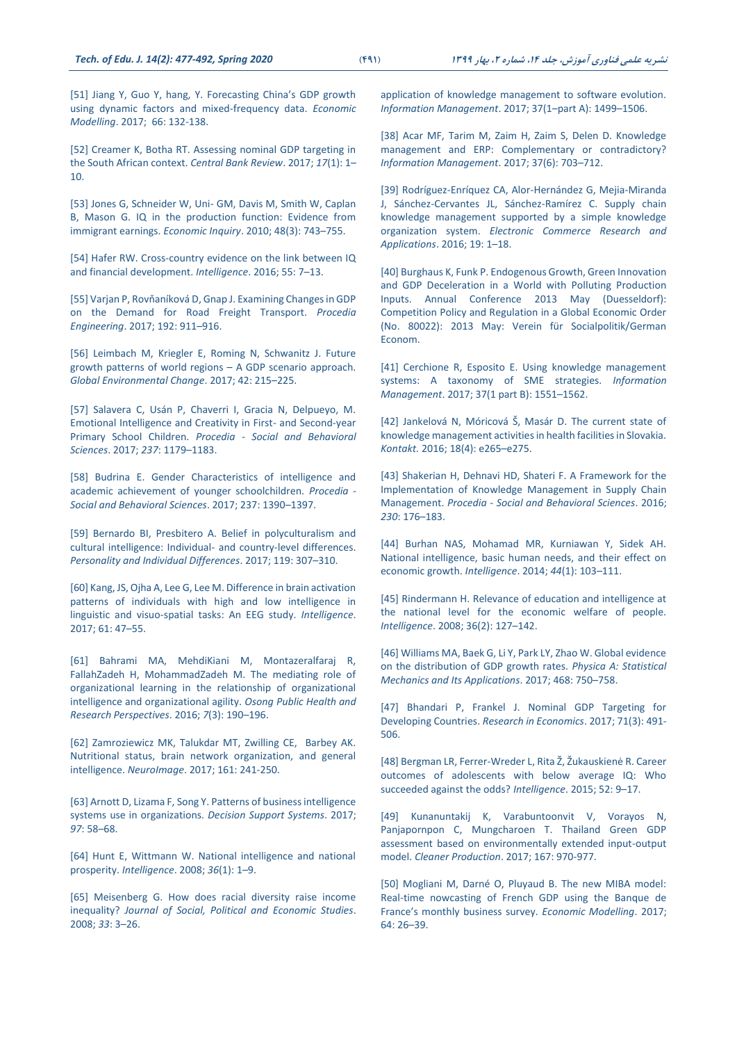[51] Jiang Y, Guo Y, hang, Y. Forecasting China's GDP growth using dynamic factors and mixed-frequency data. *Economic Modelling*. 2017; 66: 132-138.

[52] Creamer K, Botha RT. Assessing nominal GDP targeting in the South African context. *Central Bank Review*. 2017; *17*(1): 1– 10.

[53] Jones G, Schneider W, Uni- GM, Davis M, Smith W, Caplan B, Mason G. IQ in the production function: Evidence from immigrant earnings. *Economic Inquiry*. 2010; 48(3): 743–755.

[54] Hafer RW. Cross-country evidence on the link between IQ and financial development. *Intelligence*. 2016; 55: 7–13.

[55] Varjan P, Rovňaníková D, Gnap J. Examining Changes in GDP on the Demand for Road Freight Transport. *Procedia Engineering*. 2017; 192: 911–916.

[56] Leimbach M, Kriegler E, Roming N, Schwanitz J. Future growth patterns of world regions – A GDP scenario approach. *Global Environmental Change*. 2017; 42: 215–225.

[57] Salavera C, Usán P, Chaverri I, Gracia N, Delpueyo, M. Emotional Intelligence and Creativity in First- and Second-year Primary School Children. *Procedia - Social and Behavioral Sciences*. 2017; *237*: 1179–1183.

[58] Budrina E. Gender Characteristics of intelligence and academic achievement of younger schoolchildren. *Procedia - Social and Behavioral Sciences*. 2017; 237: 1390–1397.

[59] Bernardo BI, Presbitero A. Belief in polyculturalism and cultural intelligence: Individual- and country-level differences. *Personality and Individual Differences*. 2017; 119: 307–310.

[60] Kang, JS, Ojha A, Lee G, Lee M. Difference in brain activation patterns of individuals with high and low intelligence in linguistic and visuo-spatial tasks: An EEG study. *Intelligence*. 2017; 61: 47–55.

[61] Bahrami MA, MehdiKiani M, Montazeralfaraj R, FallahZadeh H, MohammadZadeh M. The mediating role of organizational learning in the relationship of organizational intelligence and organizational agility. *Osong Public Health and Research Perspectives*. 2016; *7*(3): 190–196.

[62] Zamroziewicz MK, Talukdar MT, Zwilling CE, Barbey AK. Nutritional status, brain network organization, and general intelligence. *NeuroImage*. 2017; 161: 241-250.

[63] Arnott D, Lizama F, Song Y. Patterns of business intelligence systems use in organizations. *Decision Support Systems*. 2017; *97*: 58–68.

[64] Hunt E, Wittmann W. National intelligence and national prosperity. *Intelligence*. 2008; *36*(1): 1–9.

[65] Meisenberg G. How does racial diversity raise income inequality? *Journal of Social, Political and Economic Studies*. 2008; *33*: 3–26.

application of knowledge management to software evolution. *Information Management*. 2017; 37(1–part A): 1499–1506.

[38] Acar MF, Tarim M, Zaim H, Zaim S, Delen D. Knowledge management and ERP: Complementary or contradictory? *Information Management*. 2017; 37(6): 703–712.

[39] Rodríguez-Enríquez CA, Alor-Hernández G, Mejia-Miranda J, Sánchez-Cervantes JL, Sánchez-Ramírez C. Supply chain knowledge management supported by a simple knowledge organization system. *Electronic Commerce Research and Applications*. 2016; 19: 1–18.

[40] Burghaus K, Funk P. Endogenous Growth, Green Innovation and GDP Deceleration in a World with Polluting Production Inputs. Annual Conference 2013 May (Duesseldorf): Competition Policy and Regulation in a Global Economic Order (No. 80022): 2013 May: Verein für Socialpolitik/German Econom.

[41] Cerchione R, Esposito E. Using knowledge management systems: A taxonomy of SME strategies. *Information Management*. 2017; 37(1 part B): 1551–1562.

[42] Jankelová N, Móricová Š, Masár D. The current state of knowledge management activities in health facilities in Slovakia. *Kontakt.* 2016; 18(4): e265–e275.

[43] Shakerian H, Dehnavi HD, Shateri F. A Framework for the Implementation of Knowledge Management in Supply Chain Management. *Procedia - Social and Behavioral Sciences*. 2016; *230*: 176–183.

[44] Burhan NAS, Mohamad MR, Kurniawan Y, Sidek AH. National intelligence, basic human needs, and their effect on economic growth. *Intelligence*. 2014; *44*(1): 103–111.

[\[45\] Rindermann H. Relevance of education and intelligence at](http://doi.org/10.1016/j.intell.2007.02.002)  [the national level for the economic welfare of people.](http://doi.org/10.1016/j.intell.2007.02.002)  *Intelligence*[. 2008; 36\(2\): 127](http://doi.org/10.1016/j.intell.2007.02.002)–142.

[46] Williams MA, Baek G, Li Y, Park LY, Zhao W. Global evidence on the distribution of GDP growth rates. *Physica A: Statistical Mechanics and Its Applications*. 2017; 468: 750–758.

[47] Bhandari P, Frankel J. Nominal GDP Targeting for Developing Countries. *Research in Economics*. 2017; 71(3): 491- 506.

[48] Bergman LR, Ferrer-Wreder L, Rita Ž, Žukauskienė R. Career outcomes of adolescents with below average IQ: Who succeeded against the odds? *Intelligence*. 2015; 52: 9–17.

[49] Kunanuntakij K, Varabuntoonvit V, Vorayos N, Panjapornpon C, Mungcharoen T. Thailand Green GDP assessment based on environmentally extended input-output model. *Cleaner Production*. 2017; 167: 970-977.

[50] Mogliani M, Darné O, Pluyaud B. The new MIBA model: Real-time nowcasting of French GDP using the Banque de France's monthly business survey. *Economic Modelling*. 2017; 64: 26–39.